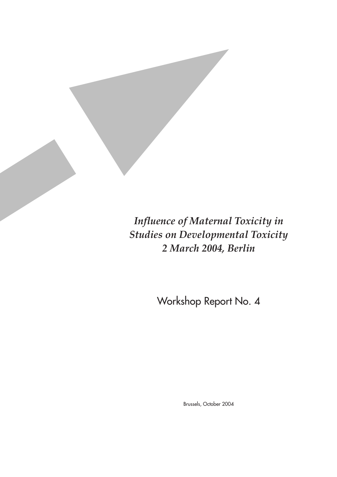*Influence of Maternal Toxicity in Studies on Developmental Toxicity 2 March 2004, Berlin*

Workshop Report No. 4

Brussels, October 2004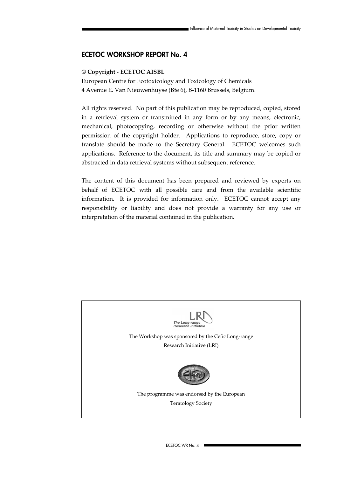### **ECETOC WORKSHOP REPORT No. 4**

#### **© Copyright - ECETOC AISBL**

European Centre for Ecotoxicology and Toxicology of Chemicals 4 Avenue E. Van Nieuwenhuyse (Bte 6), B-1160 Brussels, Belgium.

All rights reserved. No part of this publication may be reproduced, copied, stored in a retrieval system or transmitted in any form or by any means, electronic, mechanical, photocopying, recording or otherwise without the prior written permission of the copyright holder. Applications to reproduce, store, copy or translate should be made to the Secretary General. ECETOC welcomes such applications. Reference to the document, its title and summary may be copied or abstracted in data retrieval systems without subsequent reference.

The content of this document has been prepared and reviewed by experts on behalf of ECETOC with all possible care and from the available scientific information. It is provided for information only. ECETOC cannot accept any responsibility or liability and does not provide a warranty for any use or interpretation of the material contained in the publication.

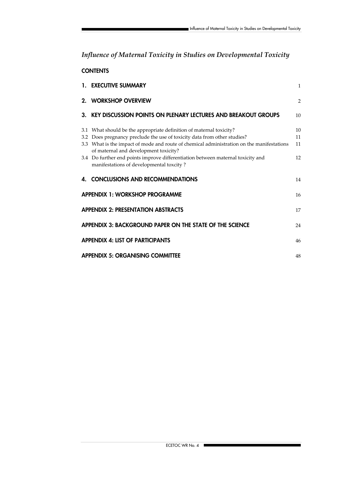# *Influence of Maternal Toxicity in Studies on Developmental Toxicity*

### **CONTENTS**

|                                                                | 1. EXECUTIVE SUMMARY                                                                                                                            | $\mathbf{1}$   |  |  |  |
|----------------------------------------------------------------|-------------------------------------------------------------------------------------------------------------------------------------------------|----------------|--|--|--|
|                                                                | 2. WORKSHOP OVERVIEW                                                                                                                            | $\overline{2}$ |  |  |  |
|                                                                | 3. KEY DISCUSSION POINTS ON PLENARY LECTURES AND BREAKOUT GROUPS                                                                                | 10             |  |  |  |
|                                                                | 3.1 What should be the appropriate definition of maternal toxicity?<br>3.2 Does pregnancy preclude the use of toxicity data from other studies? | 10<br>11       |  |  |  |
|                                                                | 3.3 What is the impact of mode and route of chemical administration on the manifestations<br>of maternal and development toxicity?              | 11             |  |  |  |
|                                                                | 3.4 Do further end points improve differentiation between maternal toxicity and<br>manifestations of developmental toxcity?                     | 12             |  |  |  |
| 4.                                                             | <b>CONCLUSIONS AND RECOMMENDATIONS</b>                                                                                                          | 14             |  |  |  |
| <b>APPENDIX 1: WORKSHOP PROGRAMME</b><br>16                    |                                                                                                                                                 |                |  |  |  |
| <b>APPENDIX 2: PRESENTATION ABSTRACTS</b><br>17                |                                                                                                                                                 |                |  |  |  |
| APPENDIX 3: BACKGROUND PAPER ON THE STATE OF THE SCIENCE<br>24 |                                                                                                                                                 |                |  |  |  |
| <b>APPENDIX 4: LIST OF PARTICIPANTS</b><br>46                  |                                                                                                                                                 |                |  |  |  |
| <b>APPENDIX 5: ORGANISING COMMITTEE</b><br>48                  |                                                                                                                                                 |                |  |  |  |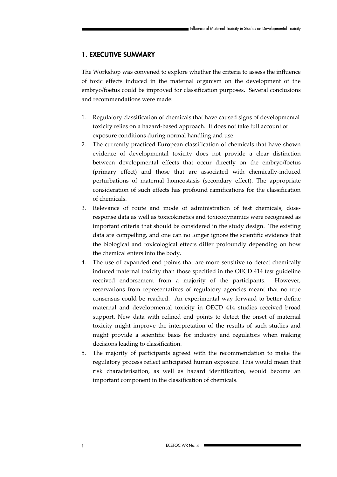### **1. EXECUTIVE SUMMARY**

The Workshop was convened to explore whether the criteria to assess the influence of toxic effects induced in the maternal organism on the development of the embryo/foetus could be improved for classification purposes. Several conclusions and recommendations were made:

- 1. Regulatory classification of chemicals that have caused signs of developmental toxicity relies on a hazard-based approach. It does not take full account of exposure conditions during normal handling and use.
- 2. The currently practiced European classification of chemicals that have shown evidence of developmental toxicity does not provide a clear distinction between developmental effects that occur directly on the embryo/foetus (primary effect) and those that are associated with chemically-induced perturbations of maternal homeostasis (secondary effect). The appropriate consideration of such effects has profound ramifications for the classification of chemicals.
- 3. Relevance of route and mode of administration of test chemicals, doseresponse data as well as toxicokinetics and toxicodynamics were recognised as important criteria that should be considered in the study design. The existing data are compelling, and one can no longer ignore the scientific evidence that the biological and toxicological effects differ profoundly depending on how the chemical enters into the body.
- 4. The use of expanded end points that are more sensitive to detect chemically induced maternal toxicity than those specified in the OECD 414 test guideline received endorsement from a majority of the participants. However, reservations from representatives of regulatory agencies meant that no true consensus could be reached. An experimental way forward to better define maternal and developmental toxicity in OECD 414 studies received broad support. New data with refined end points to detect the onset of maternal toxicity might improve the interpretation of the results of such studies and might provide a scientific basis for industry and regulators when making decisions leading to classification.
- 5. The majority of participants agreed with the recommendation to make the regulatory process reflect anticipated human exposure. This would mean that risk characterisation, as well as hazard identification, would become an important component in the classification of chemicals.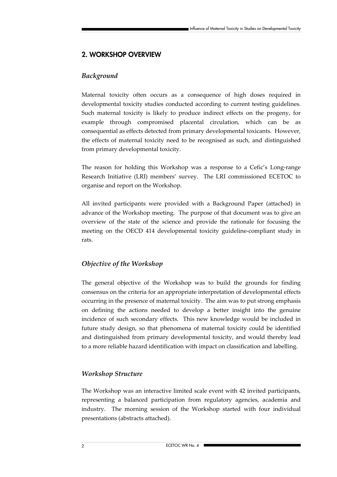# **2. WORKSHOP OVERVIEW**

### *Background*

Maternal toxicity often occurs as a consequence of high doses required in developmental toxicity studies conducted according to current testing guidelines. Such maternal toxicity is likely to produce indirect effects on the progeny, for example through compromised placental circulation, which can be as consequential as effects detected from primary developmental toxicants. However, the effects of maternal toxicity need to be recognised as such, and distinguished from primary developmental toxicity.

The reason for holding this Workshop was a response to a Cefic's Long-range Research Initiative (LRI) members' survey. The LRI commissioned ECETOC to organise and report on the Workshop.

All invited participants were provided with a Background Paper (attached) in advance of the Workshop meeting. The purpose of that document was to give an overview of the state of the science and provide the rationale for focusing the meeting on the OECD 414 developmental toxicity guideline-compliant study in rats.

### *Objective of the Workshop*

The general objective of the Workshop was to build the grounds for finding consensus on the criteria for an appropriate interpretation of developmental effects occurring in the presence of maternal toxicity. The aim was to put strong emphasis on defining the actions needed to develop a better insight into the genuine incidence of such secondary effects. This new knowledge would be included in future study design, so that phenomena of maternal toxicity could be identified and distinguished from primary developmental toxicity, and would thereby lead to a more reliable hazard identification with impact on classification and labelling.

### *Workshop Structure*

The Workshop was an interactive limited scale event with 42 invited participants, representing a balanced participation from regulatory agencies, academia and industry. The morning session of the Workshop started with four individual presentations (abstracts attached).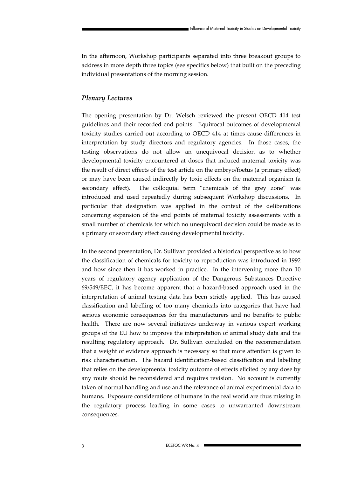In the afternoon, Workshop participants separated into three breakout groups to address in more depth three topics (see specifics below) that built on the preceding individual presentations of the morning session.

### *Plenary Lectures*

The opening presentation by Dr. Welsch reviewed the present OECD 414 test guidelines and their recorded end points. Equivocal outcomes of developmental toxicity studies carried out according to OECD 414 at times cause differences in interpretation by study directors and regulatory agencies. In those cases, the testing observations do not allow an unequivocal decision as to whether developmental toxicity encountered at doses that induced maternal toxicity was the result of direct effects of the test article on the embryo/foetus (a primary effect) or may have been caused indirectly by toxic effects on the maternal organism (a secondary effect). The colloquial term "chemicals of the grey zone" was introduced and used repeatedly during subsequent Workshop discussions. In particular that designation was applied in the context of the deliberations concerning expansion of the end points of maternal toxicity assessments with a small number of chemicals for which no unequivocal decision could be made as to a primary or secondary effect causing developmental toxicity.

In the second presentation, Dr. Sullivan provided a historical perspective as to how the classification of chemicals for toxicity to reproduction was introduced in 1992 and how since then it has worked in practice. In the intervening more than 10 years of regulatory agency application of the Dangerous Substances Directive 69/549/EEC, it has become apparent that a hazard-based approach used in the interpretation of animal testing data has been strictly applied. This has caused classification and labelling of too many chemicals into categories that have had serious economic consequences for the manufacturers and no benefits to public health. There are now several initiatives underway in various expert working groups of the EU how to improve the interpretation of animal study data and the resulting regulatory approach. Dr. Sullivan concluded on the recommendation that a weight of evidence approach is necessary so that more attention is given to risk characterisation. The hazard identification-based classification and labelling that relies on the developmental toxicity outcome of effects elicited by any dose by any route should be reconsidered and requires revision. No account is currently taken of normal handling and use and the relevance of animal experimental data to humans. Exposure considerations of humans in the real world are thus missing in the regulatory process leading in some cases to unwarranted downstream consequences.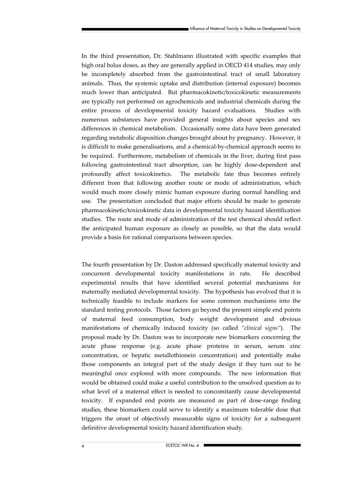In the third presentation, Dr. Stahlmann illustrated with specific examples that high oral bolus doses, as they are generally applied in OECD 414 studies, may only be incompletely absorbed from the gastrointestinal tract of small laboratory animals. Thus, the systemic uptake and distribution (internal exposure) becomes much lower than anticipated. But pharmacokinetic/toxicokinetic measurements are typically not performed on agrochemicals and industrial chemicals during the entire process of developmental toxicity hazard evaluations. Studies with numerous substances have provided general insights about species and sex differences in chemical metabolism. Occasionally some data have been generated regarding metabolic disposition changes brought about by pregnancy. However, it is difficult to make generalisations, and a chemical-by-chemical approach seems to be required. Furthermore, metabolism of chemicals in the liver, during first pass following gastrointestinal tract absorption, can be highly dose-dependent and profoundly affect toxicokinetics. The metabolic fate thus becomes entirely different from that following another route or mode of administration, which would much more closely mimic human exposure during normal handling and use. The presentation concluded that major efforts should be made to generate pharmacokinetic/toxicokinetic data in developmental toxicity hazard identification studies. The route and mode of administration of the test chemical should reflect the anticipated human exposure as closely as possible, so that the data would provide a basis for rational comparisons between species.

The fourth presentation by Dr. Daston addressed specifically maternal toxicity and concurrent developmental toxicity manifestations in rats. He described experimental results that have identified several potential mechanisms for maternally mediated developmental toxicity. The hypothesis has evolved that it is technically feasible to include markers for some common mechanisms into the standard testing protocols. Those factors go beyond the present simple end points of maternal feed consumption, body weight development and obvious manifestations of chemically induced toxicity (so called *"clinical signs"*). The proposal made by Dr. Daston was to incorporate new biomarkers concerning the acute phase response (e.g. acute phase proteins in serum, serum zinc concentration, or hepatic metallothionein concentration) and potentially make those components an integral part of the study design if they turn out to be meaningful once explored with more compounds. The new information that would be obtained could make a useful contribution to the unsolved question as to what level of a maternal effect is needed to concomitantly cause developmental toxicity. If expanded end points are measured as part of dose-range finding studies, these biomarkers could serve to identify a maximum tolerable dose that triggers the onset of objectively measurable signs of toxicity for a subsequent definitive developmental toxicity hazard identification study.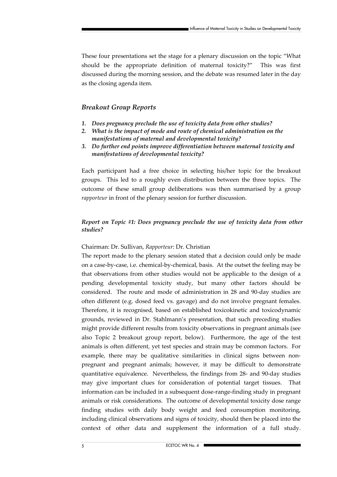These four presentations set the stage for a plenary discussion on the topic "What should be the appropriate definition of maternal toxicity?" This was first discussed during the morning session, and the debate was resumed later in the day as the closing agenda item.

### *Breakout Group Reports*

- *1. Does pregnancy preclude the use of toxicity data from other studies?*
- *2. What is the impact of mode and route of chemical administration on the manifestations of maternal and developmental toxicity?*
- *3. Do further end points improve differentiation between maternal toxicity and manifestations of developmental toxicity?*

Each participant had a free choice in selecting his/her topic for the breakout groups. This led to a roughly even distribution between the three topics. The outcome of these small group deliberations was then summarised by a group *rapporteur* in front of the plenary session for further discussion.

### *Report on Topic #1: Does pregnancy preclude the use of toxicity data from other studies?*

#### Chairman: Dr. Sullivan, *Rapporteur*: Dr. Christian

The report made to the plenary session stated that a decision could only be made on a case-by-case, i.e. chemical-by-chemical, basis. At the outset the feeling may be that observations from other studies would not be applicable to the design of a pending developmental toxicity study, but many other factors should be considered. The route and mode of administration in 28 and 90-day studies are often different (e.g. dosed feed vs. gavage) and do not involve pregnant females. Therefore, it is recognised, based on established toxicokinetic and toxicodynamic grounds, reviewed in Dr. Stahlmann's presentation, that such preceding studies might provide different results from toxicity observations in pregnant animals (see also Topic 2 breakout group report, below). Furthermore, the age of the test animals is often different, yet test species and strain may be common factors. For example, there may be qualitative similarities in clinical signs between nonpregnant and pregnant animals; however, it may be difficult to demonstrate quantitative equivalence. Nevertheless, the findings from 28- and 90-day studies may give important clues for consideration of potential target tissues. That information can be included in a subsequent dose-range-finding study in pregnant animals or risk considerations. The outcome of developmental toxicity dose range finding studies with daily body weight and feed consumption monitoring, including clinical observations and signs of toxicity, should then be placed into the context of other data and supplement the information of a full study.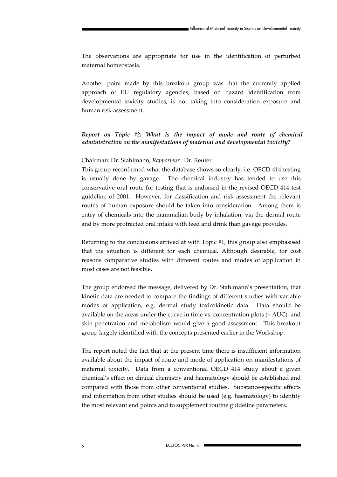The observations are appropriate for use in the identification of perturbed maternal homeostasis.

Another point made by this breakout group was that the currently applied approach of EU regulatory agencies, based on hazard identification from developmental toxicity studies, is not taking into consideration exposure and human risk assessment.

### *Report on Topic #2: What is the impact of mode and route of chemical administration on the manifestations of maternal and developmental toxicity?*

#### Chairman: Dr. Stahlmann, *Rapporteur* : Dr. Reuter

This group reconfirmed what the database shows so clearly, i.e. OECD 414 testing is usually done by gavage. The chemical industry has tended to use this conservative oral route for testing that is endorsed in the revised OECD 414 test guideline of 2001. However, for classification and risk assessment the relevant routes of human exposure should be taken into consideration. Among them is entry of chemicals into the mammalian body by inhalation, via the dermal route and by more protracted oral intake with feed and drink than gavage provides.

Returning to the conclusions arrived at with Topic #1, this group also emphasised that the situation is different for each chemical. Although desirable, for cost reasons comparative studies with different routes and modes of application in most cases are not feasible.

The group endorsed the message, delivered by Dr. Stahlmann's presentation, that kinetic data are needed to compare the findings of different studies with variable modes of application, e.g. dermal study toxicokinetic data. Data should be available on the areas under the curve in time vs. concentration plots (= AUC), and skin penetration and metabolism would give a good assessment. This breakout group largely identified with the concepts presented earlier in the Workshop.

The report noted the fact that at the present time there is insufficient information available about the impact of route and mode of application on manifestations of maternal toxicity. Data from a conventional OECD 414 study about a given chemical's effect on clinical chemistry and haematology should be established and compared with those from other conventional studies. Substance-specific effects and information from other studies should be used (e.g. haematology) to identify the most relevant end points and to supplement routine guideline parameters.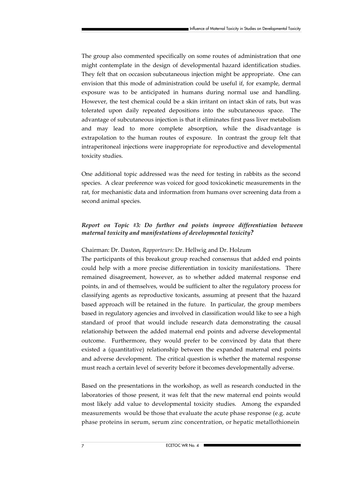The group also commented specifically on some routes of administration that one might contemplate in the design of developmental hazard identification studies. They felt that on occasion subcutaneous injection might be appropriate. One can envision that this mode of administration could be useful if, for example, dermal exposure was to be anticipated in humans during normal use and handling. However, the test chemical could be a skin irritant on intact skin of rats, but was tolerated upon daily repeated depositions into the subcutaneous space. The advantage of subcutaneous injection is that it eliminates first pass liver metabolism and may lead to more complete absorption, while the disadvantage is extrapolation to the human routes of exposure. In contrast the group felt that intraperitoneal injections were inappropriate for reproductive and developmental toxicity studies.

One additional topic addressed was the need for testing in rabbits as the second species. A clear preference was voiced for good toxicokinetic measurements in the rat, for mechanistic data and information from humans over screening data from a second animal species.

### *Report on Topic #3: Do further end points improve differentiation between maternal toxicity and manifestations of developmental toxicity?*

### Chairman: Dr. Daston, *Rapporteurs*: Dr. Hellwig and Dr. Holzum

The participants of this breakout group reached consensus that added end points could help with a more precise differentiation in toxicity manifestations. There remained disagreement, however, as to whether added maternal response end points, in and of themselves, would be sufficient to alter the regulatory process for classifying agents as reproductive toxicants, assuming at present that the hazard based approach will be retained in the future. In particular, the group members based in regulatory agencies and involved in classification would like to see a high standard of proof that would include research data demonstrating the causal relationship between the added maternal end points and adverse developmental outcome. Furthermore, they would prefer to be convinced by data that there existed a (quantitative) relationship between the expanded maternal end points and adverse development. The critical question is whether the maternal response must reach a certain level of severity before it becomes developmentally adverse.

Based on the presentations in the workshop, as well as research conducted in the laboratories of those present, it was felt that the new maternal end points would most likely add value to developmental toxicity studies. Among the expanded measurements would be those that evaluate the acute phase response (e.g. acute phase proteins in serum, serum zinc concentration, or hepatic metallothionein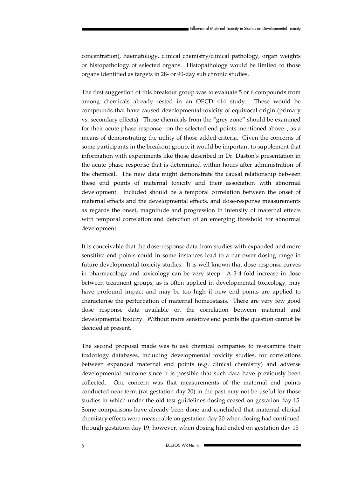concentration), haematology, clinical chemistry/clinical pathology, organ weights or histopathology of selected organs. Histopathology would be limited to those organs identified as targets in 28- or 90-day sub chronic studies.

The first suggestion of this breakout group was to evaluate 5 or 6 compounds from among chemicals already tested in an OECD 414 study. These would be compounds that have caused developmental toxicity of equivocal origin (primary vs. secondary effects). Those chemicals from the "grey zone" should be examined for their acute phase response –on the selected end points mentioned above–, as a means of demonstrating the utility of those added criteria. Given the concerns of some participants in the breakout group, it would be important to supplement that information with experiments like those described in Dr. Daston's presentation in the acute phase response that is determined within hours after administration of the chemical. The new data might demonstrate the causal relationship between these end points of maternal toxicity and their association with abnormal development. Included should be a temporal correlation between the onset of maternal effects and the developmental effects, and dose-response measurements as regards the onset, magnitude and progression in intensity of maternal effects with temporal correlation and detection of an emerging threshold for abnormal development.

It is conceivable that the dose-response data from studies with expanded and more sensitive end points could in some instances lead to a narrower dosing range in future developmental toxicity studies. It is well known that dose-response curves in pharmacology and toxicology can be very steep. A 3-4 fold increase in dose between treatment groups, as is often applied in developmental toxicology, may have profound impact and may be too high if new end points are applied to characterise the perturbation of maternal homeostasis. There are very few good dose response data available on the correlation between maternal and developmental toxicity. Without more sensitive end points the question cannot be decided at present.

The second proposal made was to ask chemical companies to re-examine their toxicology databases, including developmental toxicity studies, for correlations between expanded maternal end points (e.g. clinical chemistry) and adverse developmental outcome since it is possible that such data have previously been collected. One concern was that measurements of the maternal end points conducted near term (rat gestation day 20) in the past may not be useful for those studies in which under the old test guidelines dosing ceased on gestation day 15. Some comparisons have already been done and concluded that maternal clinical chemistry effects were measurable on gestation day 20 when dosing had continued through gestation day 19; however, when dosing had ended on gestation day 15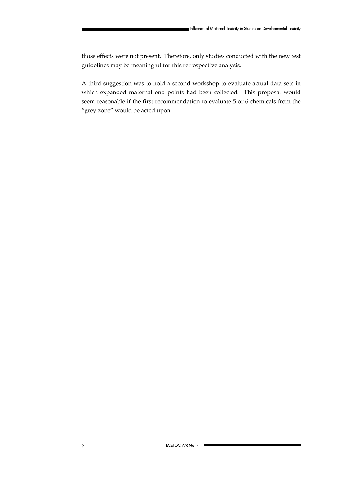those effects were not present. Therefore, only studies conducted with the new test guidelines may be meaningful for this retrospective analysis.

A third suggestion was to hold a second workshop to evaluate actual data sets in which expanded maternal end points had been collected. This proposal would seem reasonable if the first recommendation to evaluate 5 or 6 chemicals from the "grey zone" would be acted upon.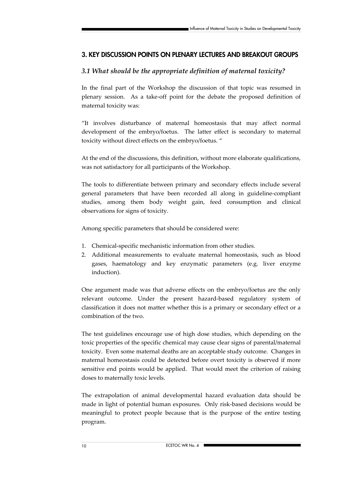### **3. KEY DISCUSSION POINTS ON PLENARY LECTURES AND BREAKOUT GROUPS**

### *3.1 What should be the appropriate definition of maternal toxicity?*

In the final part of the Workshop the discussion of that topic was resumed in plenary session. As a take-off point for the debate the proposed definition of maternal toxicity was:

"It involves disturbance of maternal homeostasis that may affect normal development of the embryo/foetus. The latter effect is secondary to maternal toxicity without direct effects on the embryo/foetus. "

At the end of the discussions, this definition, without more elaborate qualifications, was not satisfactory for all participants of the Workshop.

The tools to differentiate between primary and secondary effects include several general parameters that have been recorded all along in guideline-compliant studies, among them body weight gain, feed consumption and clinical observations for signs of toxicity.

Among specific parameters that should be considered were:

- 1. Chemical-specific mechanistic information from other studies.
- 2. Additional measurements to evaluate maternal homeostasis, such as blood gases, haematology and key enzymatic parameters (e.g. liver enzyme induction).

One argument made was that adverse effects on the embryo/foetus are the only relevant outcome. Under the present hazard-based regulatory system of classification it does not matter whether this is a primary or secondary effect or a combination of the two.

The test guidelines encourage use of high dose studies, which depending on the toxic properties of the specific chemical may cause clear signs of parental/maternal toxicity. Even some maternal deaths are an acceptable study outcome. Changes in maternal homeostasis could be detected before overt toxicity is observed if more sensitive end points would be applied. That would meet the criterion of raising doses to maternally toxic levels.

The extrapolation of animal developmental hazard evaluation data should be made in light of potential human exposures. Only risk-based decisions would be meaningful to protect people because that is the purpose of the entire testing program.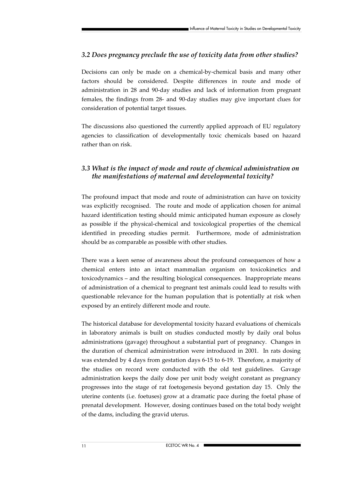### *3.2 Does pregnancy preclude the use of toxicity data from other studies?*

Decisions can only be made on a chemical-by-chemical basis and many other factors should be considered. Despite differences in route and mode of administration in 28 and 90-day studies and lack of information from pregnant females, the findings from 28- and 90-day studies may give important clues for consideration of potential target tissues.

The discussions also questioned the currently applied approach of EU regulatory agencies to classification of developmentally toxic chemicals based on hazard rather than on risk.

### *3.3 What is the impact of mode and route of chemical administration on the manifestations of maternal and developmental toxicity?*

The profound impact that mode and route of administration can have on toxicity was explicitly recognised. The route and mode of application chosen for animal hazard identification testing should mimic anticipated human exposure as closely as possible if the physical-chemical and toxicological properties of the chemical identified in preceding studies permit. Furthermore, mode of administration should be as comparable as possible with other studies.

There was a keen sense of awareness about the profound consequences of how a chemical enters into an intact mammalian organism on toxicokinetics and toxicodynamics – and the resulting biological consequences. Inappropriate means of administration of a chemical to pregnant test animals could lead to results with questionable relevance for the human population that is potentially at risk when exposed by an entirely different mode and route.

The historical database for developmental toxicity hazard evaluations of chemicals in laboratory animals is built on studies conducted mostly by daily oral bolus administrations (gavage) throughout a substantial part of pregnancy. Changes in the duration of chemical administration were introduced in 2001. In rats dosing was extended by 4 days from gestation days 6-15 to 6-19. Therefore, a majority of the studies on record were conducted with the old test guidelines. Gavage administration keeps the daily dose per unit body weight constant as pregnancy progresses into the stage of rat foetogenesis beyond gestation day 15. Only the uterine contents (i.e. foetuses) grow at a dramatic pace during the foetal phase of prenatal development. However, dosing continues based on the total body weight of the dams, including the gravid uterus.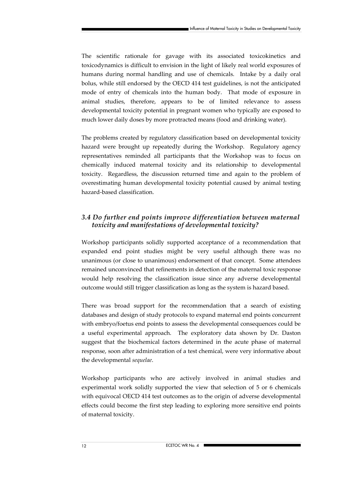The scientific rationale for gavage with its associated toxicokinetics and toxicodynamics is difficult to envision in the light of likely real world exposures of humans during normal handling and use of chemicals. Intake by a daily oral bolus, while still endorsed by the OECD 414 test guidelines, is not the anticipated mode of entry of chemicals into the human body. That mode of exposure in animal studies, therefore, appears to be of limited relevance to assess developmental toxicity potential in pregnant women who typically are exposed to much lower daily doses by more protracted means (food and drinking water).

The problems created by regulatory classification based on developmental toxicity hazard were brought up repeatedly during the Workshop. Regulatory agency representatives reminded all participants that the Workshop was to focus on chemically induced maternal toxicity and its relationship to developmental toxicity. Regardless, the discussion returned time and again to the problem of overestimating human developmental toxicity potential caused by animal testing hazard-based classification.

# *3.4 Do further end points improve differentiation between maternal toxicity and manifestations of developmental toxicity?*

Workshop participants solidly supported acceptance of a recommendation that expanded end point studies might be very useful although there was no unanimous (or close to unanimous) endorsement of that concept. Some attendees remained unconvinced that refinements in detection of the maternal toxic response would help resolving the classification issue since any adverse developmental outcome would still trigger classification as long as the system is hazard based.

There was broad support for the recommendation that a search of existing databases and design of study protocols to expand maternal end points concurrent with embryo/foetus end points to assess the developmental consequences could be a useful experimental approach. The exploratory data shown by Dr. Daston suggest that the biochemical factors determined in the acute phase of maternal response, soon after administration of a test chemical, were very informative about the developmental *sequelae*.

Workshop participants who are actively involved in animal studies and experimental work solidly supported the view that selection of 5 or 6 chemicals with equivocal OECD 414 test outcomes as to the origin of adverse developmental effects could become the first step leading to exploring more sensitive end points of maternal toxicity.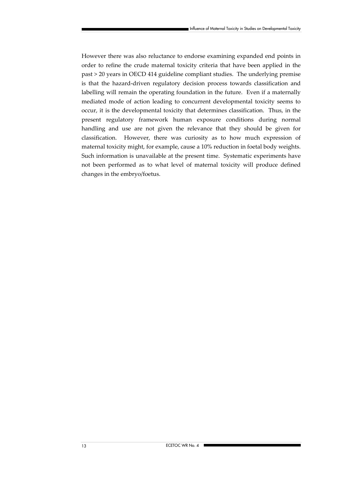However there was also reluctance to endorse examining expanded end points in order to refine the crude maternal toxicity criteria that have been applied in the past > 20 years in OECD 414 guideline compliant studies. The underlying premise is that the hazard-driven regulatory decision process towards classification and labelling will remain the operating foundation in the future. Even if a maternally mediated mode of action leading to concurrent developmental toxicity seems to occur, it is the developmental toxicity that determines classification. Thus, in the present regulatory framework human exposure conditions during normal handling and use are not given the relevance that they should be given for classification. However, there was curiosity as to how much expression of maternal toxicity might, for example, cause a 10% reduction in foetal body weights. Such information is unavailable at the present time. Systematic experiments have not been performed as to what level of maternal toxicity will produce defined changes in the embryo/foetus.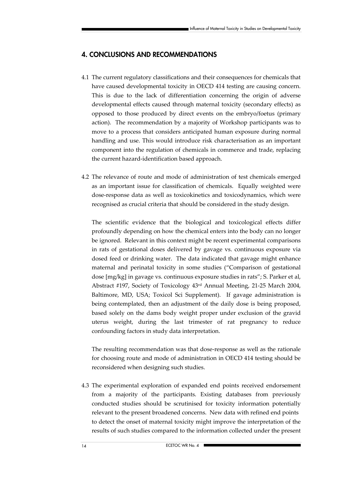# **4. CONCLUSIONS AND RECOMMENDATIONS**

- 4.1 The current regulatory classifications and their consequences for chemicals that have caused developmental toxicity in OECD 414 testing are causing concern. This is due to the lack of differentiation concerning the origin of adverse developmental effects caused through maternal toxicity (secondary effects) as opposed to those produced by direct events on the embryo/foetus (primary action). The recommendation by a majority of Workshop participants was to move to a process that considers anticipated human exposure during normal handling and use. This would introduce risk characterisation as an important component into the regulation of chemicals in commerce and trade, replacing the current hazard-identification based approach.
- 4.2 The relevance of route and mode of administration of test chemicals emerged as an important issue for classification of chemicals. Equally weighted were dose-response data as well as toxicokinetics and toxicodynamics, which were recognised as crucial criteria that should be considered in the study design.

The scientific evidence that the biological and toxicological effects differ profoundly depending on how the chemical enters into the body can no longer be ignored. Relevant in this context might be recent experimental comparisons in rats of gestational doses delivered by gavage vs. continuous exposure via dosed feed or drinking water. The data indicated that gavage might enhance maternal and perinatal toxicity in some studies ("Comparison of gestational dose [mg/kg] in gavage vs. continuous exposure studies in rats"; S. Parker et al, Abstract #197, Society of Toxicology 43rd Annual Meeting, 21-25 March 2004, Baltimore, MD, USA; Toxicol Sci Supplement). If gavage administration is being contemplated, then an adjustment of the daily dose is being proposed, based solely on the dams body weight proper under exclusion of the gravid uterus weight, during the last trimester of rat pregnancy to reduce confounding factors in study data interpretation.

The resulting recommendation was that dose-response as well as the rationale for choosing route and mode of administration in OECD 414 testing should be reconsidered when designing such studies.

4.3 The experimental exploration of expanded end points received endorsement from a majority of the participants. Existing databases from previously conducted studies should be scrutinised for toxicity information potentially relevant to the present broadened concerns. New data with refined end points to detect the onset of maternal toxicity might improve the interpretation of the results of such studies compared to the information collected under the present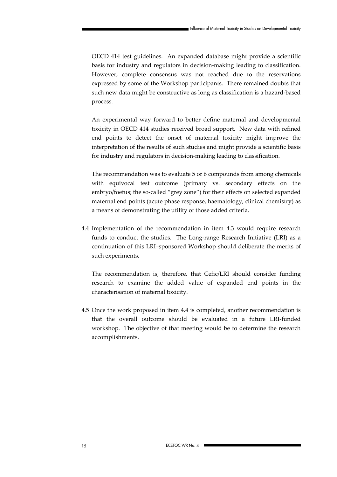OECD 414 test guidelines. An expanded database might provide a scientific basis for industry and regulators in decision-making leading to classification. However, complete consensus was not reached due to the reservations expressed by some of the Workshop participants. There remained doubts that such new data might be constructive as long as classification is a hazard-based process.

An experimental way forward to better define maternal and developmental toxicity in OECD 414 studies received broad support. New data with refined end points to detect the onset of maternal toxicity might improve the interpretation of the results of such studies and might provide a scientific basis for industry and regulators in decision-making leading to classification.

The recommendation was to evaluate 5 or 6 compounds from among chemicals with equivocal test outcome (primary vs. secondary effects on the embryo/foetus; the so-called "grey zone") for their effects on selected expanded maternal end points (acute phase response, haematology, clinical chemistry) as a means of demonstrating the utility of those added criteria.

4.4 Implementation of the recommendation in item 4.3 would require research funds to conduct the studies. The Long-range Research Initiative (LRI) as a continuation of this LRI–sponsored Workshop should deliberate the merits of such experiments.

The recommendation is, therefore, that Cefic/LRI should consider funding research to examine the added value of expanded end points in the characterisation of maternal toxicity.

4.5 Once the work proposed in item 4.4 is completed, another recommendation is that the overall outcome should be evaluated in a future LRI-funded workshop. The objective of that meeting would be to determine the research accomplishments.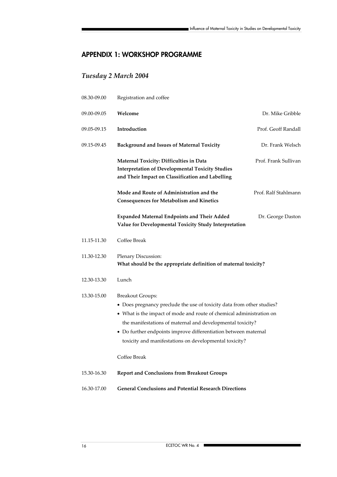# **APPENDIX 1: WORKSHOP PROGRAMME**

# *Tuesday 2 March 2004*

| 08.30-09.00 | Registration and coffee                                                                                                                                                                                                                                                                                                                                              |                      |  |
|-------------|----------------------------------------------------------------------------------------------------------------------------------------------------------------------------------------------------------------------------------------------------------------------------------------------------------------------------------------------------------------------|----------------------|--|
| 09.00-09.05 | Welcome                                                                                                                                                                                                                                                                                                                                                              | Dr. Mike Gribble     |  |
| 09.05-09.15 | Introduction                                                                                                                                                                                                                                                                                                                                                         | Prof. Geoff Randall  |  |
| 09.15-09.45 | <b>Background and Issues of Maternal Toxicity</b>                                                                                                                                                                                                                                                                                                                    | Dr. Frank Welsch     |  |
|             | Maternal Toxicity: Difficulties in Data<br><b>Interpretation of Developmental Toxicity Studies</b><br>and Their Impact on Classification and Labelling                                                                                                                                                                                                               | Prof. Frank Sullivan |  |
|             | Mode and Route of Administration and the<br><b>Consequences for Metabolism and Kinetics</b>                                                                                                                                                                                                                                                                          | Prof. Ralf Stahlmann |  |
|             | <b>Expanded Maternal Endpoints and Their Added</b><br>Value for Developmental Toxicity Study Interpretation                                                                                                                                                                                                                                                          | Dr. George Daston    |  |
| 11.15-11.30 | Coffee Break                                                                                                                                                                                                                                                                                                                                                         |                      |  |
| 11.30-12.30 | Plenary Discussion:<br>What should be the appropriate definition of maternal toxicity?                                                                                                                                                                                                                                                                               |                      |  |
| 12.30-13.30 | Lunch                                                                                                                                                                                                                                                                                                                                                                |                      |  |
| 13.30-15.00 | <b>Breakout Groups:</b><br>• Does pregnancy preclude the use of toxicity data from other studies?<br>• What is the impact of mode and route of chemical administration on<br>the manifestations of maternal and developmental toxicity?<br>• Do further endpoints improve differentiation between maternal<br>toxicity and manifestations on developmental toxicity? |                      |  |
|             | Coffee Break                                                                                                                                                                                                                                                                                                                                                         |                      |  |
| 15.30-16.30 | <b>Report and Conclusions from Breakout Groups</b>                                                                                                                                                                                                                                                                                                                   |                      |  |
| 16.30-17.00 | <b>General Conclusions and Potential Research Directions</b>                                                                                                                                                                                                                                                                                                         |                      |  |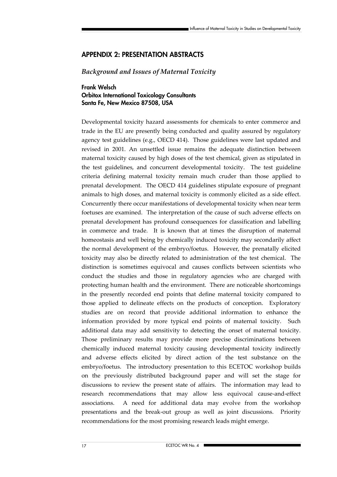### **APPENDIX 2: PRESENTATION ABSTRACTS**

### *Background and Issues of Maternal Toxicity*

**Frank Welsch Orbitox International Toxicology Consultants Santa Fe, New Mexico 87508, USA** 

Developmental toxicity hazard assessments for chemicals to enter commerce and trade in the EU are presently being conducted and quality assured by regulatory agency test guidelines (e.g., OECD 414). Those guidelines were last updated and revised in 2001. An unsettled issue remains the adequate distinction between maternal toxicity caused by high doses of the test chemical, given as stipulated in the test guidelines, and concurrent developmental toxicity. The test guideline criteria defining maternal toxicity remain much cruder than those applied to prenatal development. The OECD 414 guidelines stipulate exposure of pregnant animals to high doses, and maternal toxicity is commonly elicited as a side effect. Concurrently there occur manifestations of developmental toxicity when near term foetuses are examined. The interpretation of the cause of such adverse effects on prenatal development has profound consequences for classification and labelling in commerce and trade. It is known that at times the disruption of maternal homeostasis and well being by chemically induced toxicity may secondarily affect the normal development of the embryo/foetus. However, the prenatally elicited toxicity may also be directly related to administration of the test chemical. The distinction is sometimes equivocal and causes conflicts between scientists who conduct the studies and those in regulatory agencies who are charged with protecting human health and the environment. There are noticeable shortcomings in the presently recorded end points that define maternal toxicity compared to those applied to delineate effects on the products of conception. Exploratory studies are on record that provide additional information to enhance the information provided by more typical end points of maternal toxicity. Such additional data may add sensitivity to detecting the onset of maternal toxicity. Those preliminary results may provide more precise discriminations between chemically induced maternal toxicity causing developmental toxicity indirectly and adverse effects elicited by direct action of the test substance on the embryo/foetus. The introductory presentation to this ECETOC workshop builds on the previously distributed background paper and will set the stage for discussions to review the present state of affairs. The information may lead to research recommendations that may allow less equivocal cause-and-effect associations. A need for additional data may evolve from the workshop presentations and the break-out group as well as joint discussions. Priority recommendations for the most promising research leads might emerge.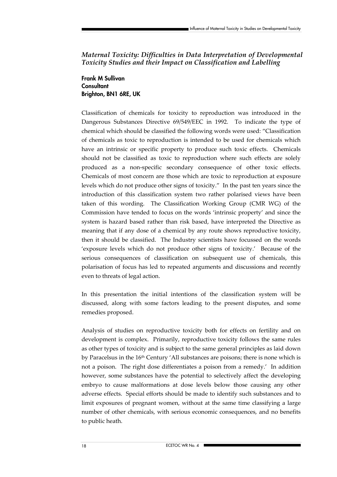### *Maternal Toxicity: Difficulties in Data Interpretation of Developmental Toxicity Studies and their Impact on Classification and Labelling*

**Frank M Sullivan Consultant Brighton, BN1 6RE, UK** 

Classification of chemicals for toxicity to reproduction was introduced in the Dangerous Substances Directive 69/549/EEC in 1992. To indicate the type of chemical which should be classified the following words were used: "Classification of chemicals as toxic to reproduction is intended to be used for chemicals which have an intrinsic or specific property to produce such toxic effects. Chemicals should not be classified as toxic to reproduction where such effects are solely produced as a non-specific secondary consequence of other toxic effects. Chemicals of most concern are those which are toxic to reproduction at exposure levels which do not produce other signs of toxicity." In the past ten years since the introduction of this classification system two rather polarised views have been taken of this wording. The Classification Working Group (CMR WG) of the Commission have tended to focus on the words 'intrinsic property' and since the system is hazard based rather than risk based, have interpreted the Directive as meaning that if any dose of a chemical by any route shows reproductive toxicity, then it should be classified. The Industry scientists have focussed on the words 'exposure levels which do not produce other signs of toxicity.' Because of the serious consequences of classification on subsequent use of chemicals, this polarisation of focus has led to repeated arguments and discussions and recently even to threats of legal action.

In this presentation the initial intentions of the classification system will be discussed, along with some factors leading to the present disputes, and some remedies proposed.

Analysis of studies on reproductive toxicity both for effects on fertility and on development is complex. Primarily, reproductive toxicity follows the same rules as other types of toxicity and is subject to the same general principles as laid down by Paracelsus in the 16<sup>th</sup> Century 'All substances are poisons; there is none which is not a poison. The right dose differentiates a poison from a remedy.' In addition however, some substances have the potential to selectively affect the developing embryo to cause malformations at dose levels below those causing any other adverse effects. Special efforts should be made to identify such substances and to limit exposures of pregnant women, without at the same time classifying a large number of other chemicals, with serious economic consequences, and no benefits to public heath.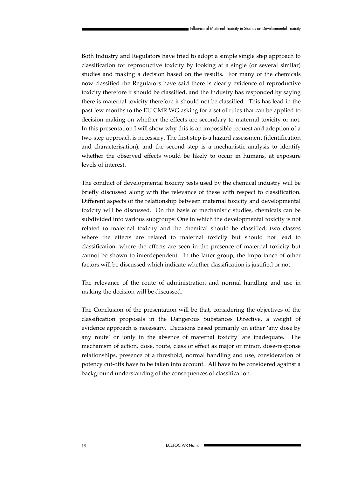Both Industry and Regulators have tried to adopt a simple single step approach to classification for reproductive toxicity by looking at a single (or several similar) studies and making a decision based on the results. For many of the chemicals now classified the Regulators have said there is clearly evidence of reproductive toxicity therefore it should be classified, and the Industry has responded by saying there is maternal toxicity therefore it should not be classified. This has lead in the past few months to the EU CMR WG asking for a set of rules that can be applied to decision-making on whether the effects are secondary to maternal toxicity or not. In this presentation I will show why this is an impossible request and adoption of a two-step approach is necessary. The first step is a hazard assessment (identification and characterisation), and the second step is a mechanistic analysis to identify whether the observed effects would be likely to occur in humans, at exposure levels of interest.

The conduct of developmental toxicity tests used by the chemical industry will be briefly discussed along with the relevance of these with respect to classification. Different aspects of the relationship between maternal toxicity and developmental toxicity will be discussed. On the basis of mechanistic studies, chemicals can be subdivided into various subgroups: One in which the developmental toxicity is not related to maternal toxicity and the chemical should be classified; two classes where the effects are related to maternal toxicity but should not lead to classification; where the effects are seen in the presence of maternal toxicity but cannot be shown to interdependent. In the latter group, the importance of other factors will be discussed which indicate whether classification is justified or not.

The relevance of the route of administration and normal handling and use in making the decision will be discussed.

The Conclusion of the presentation will be that, considering the objectives of the classification proposals in the Dangerous Substances Directive, a weight of evidence approach is necessary. Decisions based primarily on either 'any dose by any route' or 'only in the absence of maternal toxicity' are inadequate. The mechanism of action, dose, route, class of effect as major or minor, dose-response relationships, presence of a threshold, normal handling and use, consideration of potency cut-offs have to be taken into account. All have to be considered against a background understanding of the consequences of classification.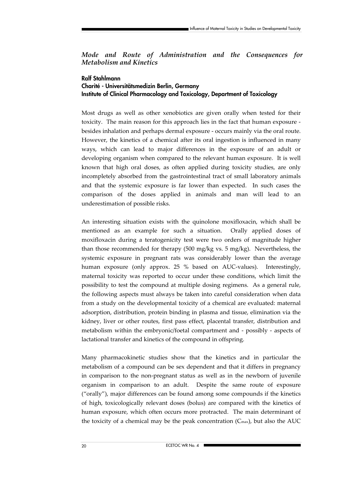*Mode and Route of Administration and the Consequences for Metabolism and Kinetics* 

### **Ralf Stahlmann Charité - Universitätsmedizin Berlin, Germany Institute of Clinical Pharmacology and Toxicology, Department of Toxicology**

Most drugs as well as other xenobiotics are given orally when tested for their toxicity. The main reason for this approach lies in the fact that human exposure besides inhalation and perhaps dermal exposure - occurs mainly via the oral route. However, the kinetics of a chemical after its oral ingestion is influenced in many ways, which can lead to major differences in the exposure of an adult or developing organism when compared to the relevant human exposure. It is well known that high oral doses, as often applied during toxicity studies, are only incompletely absorbed from the gastrointestinal tract of small laboratory animals and that the systemic exposure is far lower than expected. In such cases the comparison of the doses applied in animals and man will lead to an underestimation of possible risks.

An interesting situation exists with the quinolone moxifloxacin, which shall be mentioned as an example for such a situation. Orally applied doses of moxifloxacin during a teratogenicity test were two orders of magnitude higher than those recommended for therapy (500 mg/kg vs. 5 mg/kg). Nevertheless, the systemic exposure in pregnant rats was considerably lower than the average human exposure (only approx. 25 % based on AUC-values). Interestingly, maternal toxicity was reported to occur under these conditions, which limit the possibility to test the compound at multiple dosing regimens. As a general rule, the following aspects must always be taken into careful consideration when data from a study on the developmental toxicity of a chemical are evaluated: maternal adsorption, distribution, protein binding in plasma and tissue, elimination via the kidney, liver or other routes, first pass effect, placental transfer, distribution and metabolism within the embryonic/foetal compartment and - possibly - aspects of lactational transfer and kinetics of the compound in offspring.

Many pharmacokinetic studies show that the kinetics and in particular the metabolism of a compound can be sex dependent and that it differs in pregnancy in comparison to the non-pregnant status as well as in the newborn of juvenile organism in comparison to an adult. Despite the same route of exposure ("orally"), major differences can be found among some compounds if the kinetics of high, toxicologically relevant doses (bolus) are compared with the kinetics of human exposure, which often occurs more protracted. The main determinant of the toxicity of a chemical may be the peak concentration  $(C_{\text{max}})$ , but also the AUC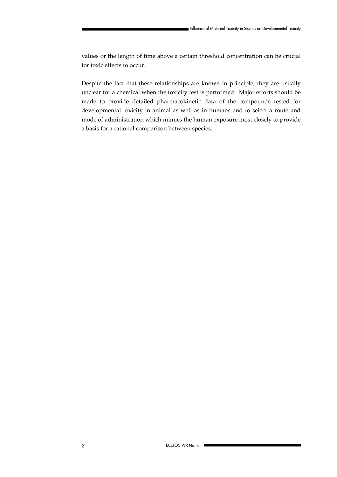values or the length of time above a certain threshold concentration can be crucial for toxic effects to occur.

Despite the fact that these relationships are known in principle, they are usually unclear for a chemical when the toxicity test is performed. Major efforts should be made to provide detailed pharmacokinetic data of the compounds tested for developmental toxicity in animal as well as in humans and to select a route and mode of administration which mimics the human exposure most closely to provide a basis for a rational comparison between species.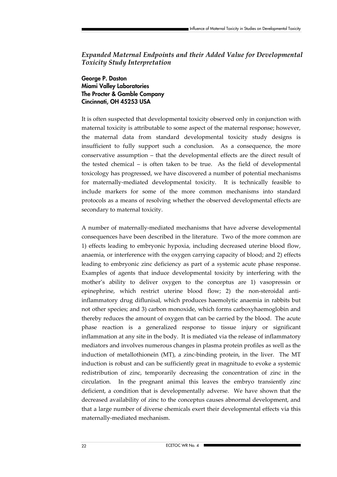### *Expanded Maternal Endpoints and their Added Value for Developmental Toxicity Study Interpretation*

**George P. Daston Miami Valley Laboratories The Procter & Gamble Company Cincinnati, OH 45253 USA** 

It is often suspected that developmental toxicity observed only in conjunction with maternal toxicity is attributable to some aspect of the maternal response; however, the maternal data from standard developmental toxicity study designs is insufficient to fully support such a conclusion. As a consequence, the more conservative assumption – that the developmental effects are the direct result of the tested chemical – is often taken to be true. As the field of developmental toxicology has progressed, we have discovered a number of potential mechanisms for maternally-mediated developmental toxicity. It is technically feasible to include markers for some of the more common mechanisms into standard protocols as a means of resolving whether the observed developmental effects are secondary to maternal toxicity.

A number of maternally-mediated mechanisms that have adverse developmental consequences have been described in the literature. Two of the more common are 1) effects leading to embryonic hypoxia, including decreased uterine blood flow, anaemia, or interference with the oxygen carrying capacity of blood; and 2) effects leading to embryonic zinc deficiency as part of a systemic acute phase response. Examples of agents that induce developmental toxicity by interfering with the mother's ability to deliver oxygen to the conceptus are 1) vasopressin or epinephrine, which restrict uterine blood flow; 2) the non-steroidal antiinflammatory drug diflunisal, which produces haemolytic anaemia in rabbits but not other species; and 3) carbon monoxide, which forms carboxyhaemoglobin and thereby reduces the amount of oxygen that can be carried by the blood. The acute phase reaction is a generalized response to tissue injury or significant inflammation at any site in the body. It is mediated via the release of inflammatory mediators and involves numerous changes in plasma protein profiles as well as the induction of metallothionein (MT), a zinc-binding protein, in the liver. The MT induction is robust and can be sufficiently great in magnitude to evoke a systemic redistribution of zinc, temporarily decreasing the concentration of zinc in the circulation. In the pregnant animal this leaves the embryo transiently zinc deficient, a condition that is developmentally adverse. We have shown that the decreased availability of zinc to the conceptus causes abnormal development, and that a large number of diverse chemicals exert their developmental effects via this maternally-mediated mechanism.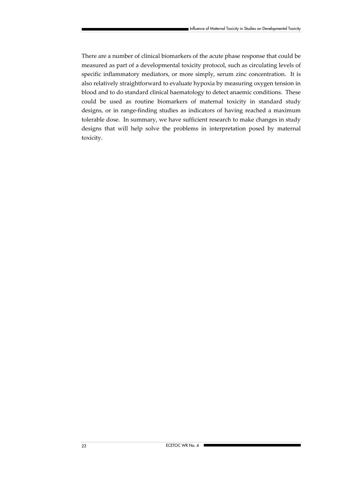There are a number of clinical biomarkers of the acute phase response that could be measured as part of a developmental toxicity protocol, such as circulating levels of specific inflammatory mediators, or more simply, serum zinc concentration. It is also relatively straightforward to evaluate hypoxia by measuring oxygen tension in blood and to do standard clinical haematology to detect anaemic conditions. These could be used as routine biomarkers of maternal toxicity in standard study designs, or in range-finding studies as indicators of having reached a maximum tolerable dose. In summary, we have sufficient research to make changes in study designs that will help solve the problems in interpretation posed by maternal toxicity.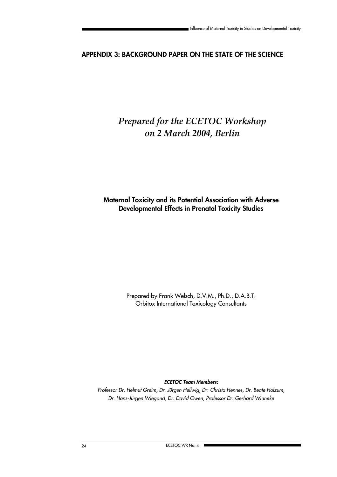# **APPENDIX 3: BACKGROUND PAPER ON THE STATE OF THE SCIENCE**

# *Prepared for the ECETOC Workshop on 2 March 2004, Berlin*

**Maternal Toxicity and its Potential Association with Adverse Developmental Effects in Prenatal Toxicity Studies**

> Prepared by Frank Welsch, D.V.M., Ph.D., D.A.B.T. Orbitox International Toxicology Consultants

> > *ECETOC Team Members:*

*Professor Dr. Helmut Greim, Dr. Jürgen Hellwig, Dr. Christa Hennes, Dr. Beate Holzum, Dr. Hans-Jürgen Wiegand, Dr. David Owen, Professor Dr. Gerhard Winneke*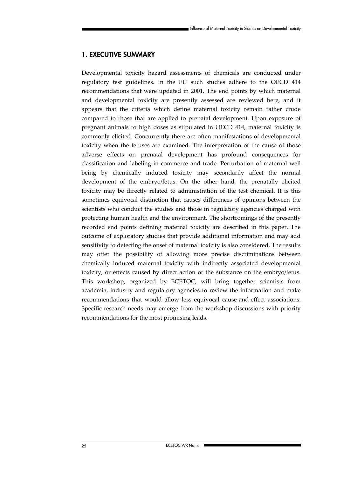### **1. EXECUTIVE SUMMARY**

Developmental toxicity hazard assessments of chemicals are conducted under regulatory test guidelines. In the EU such studies adhere to the OECD 414 recommendations that were updated in 2001. The end points by which maternal and developmental toxicity are presently assessed are reviewed here, and it appears that the criteria which define maternal toxicity remain rather crude compared to those that are applied to prenatal development. Upon exposure of pregnant animals to high doses as stipulated in OECD 414, maternal toxicity is commonly elicited. Concurrently there are often manifestations of developmental toxicity when the fetuses are examined. The interpretation of the cause of those adverse effects on prenatal development has profound consequences for classification and labeling in commerce and trade. Perturbation of maternal well being by chemically induced toxicity may secondarily affect the normal development of the embryo/fetus. On the other hand, the prenatally elicited toxicity may be directly related to administration of the test chemical. It is this sometimes equivocal distinction that causes differences of opinions between the scientists who conduct the studies and those in regulatory agencies charged with protecting human health and the environment. The shortcomings of the presently recorded end points defining maternal toxicity are described in this paper. The outcome of exploratory studies that provide additional information and may add sensitivity to detecting the onset of maternal toxicity is also considered. The results may offer the possibility of allowing more precise discriminations between chemically induced maternal toxicity with indirectly associated developmental toxicity, or effects caused by direct action of the substance on the embryo/fetus. This workshop, organized by ECETOC, will bring together scientists from academia, industry and regulatory agencies to review the information and make recommendations that would allow less equivocal cause-and-effect associations. Specific research needs may emerge from the workshop discussions with priority recommendations for the most promising leads.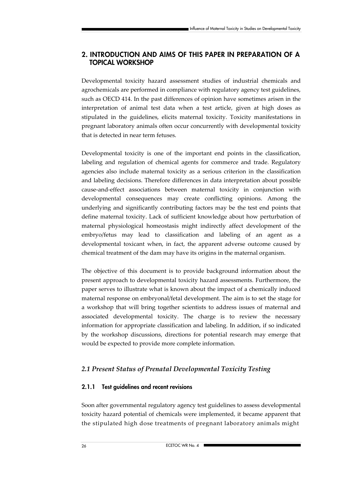### **2. INTRODUCTION AND AIMS OF THIS PAPER IN PREPARATION OF A TOPICAL WORKSHOP**

Developmental toxicity hazard assessment studies of industrial chemicals and agrochemicals are performed in compliance with regulatory agency test guidelines, such as OECD 414. In the past differences of opinion have sometimes arisen in the interpretation of animal test data when a test article, given at high doses as stipulated in the guidelines, elicits maternal toxicity. Toxicity manifestations in pregnant laboratory animals often occur concurrently with developmental toxicity that is detected in near term fetuses.

Developmental toxicity is one of the important end points in the classification, labeling and regulation of chemical agents for commerce and trade. Regulatory agencies also include maternal toxicity as a serious criterion in the classification and labeling decisions. Therefore differences in data interpretation about possible cause-and-effect associations between maternal toxicity in conjunction with developmental consequences may create conflicting opinions. Among the underlying and significantly contributing factors may be the test end points that define maternal toxicity. Lack of sufficient knowledge about how perturbation of maternal physiological homeostasis might indirectly affect development of the embryo/fetus may lead to classification and labeling of an agent as a developmental toxicant when, in fact, the apparent adverse outcome caused by chemical treatment of the dam may have its origins in the maternal organism.

The objective of this document is to provide background information about the present approach to developmental toxicity hazard assessments. Furthermore, the paper serves to illustrate what is known about the impact of a chemically induced maternal response on embryonal/fetal development. The aim is to set the stage for a workshop that will bring together scientists to address issues of maternal and associated developmental toxicity. The charge is to review the necessary information for appropriate classification and labeling. In addition, if so indicated by the workshop discussions, directions for potential research may emerge that would be expected to provide more complete information.

### *2.1 Present Status of Prenatal Developmental Toxicity Testing*

### **2.1.1 Test guidelines and recent revisions**

Soon after governmental regulatory agency test guidelines to assess developmental toxicity hazard potential of chemicals were implemented, it became apparent that the stipulated high dose treatments of pregnant laboratory animals might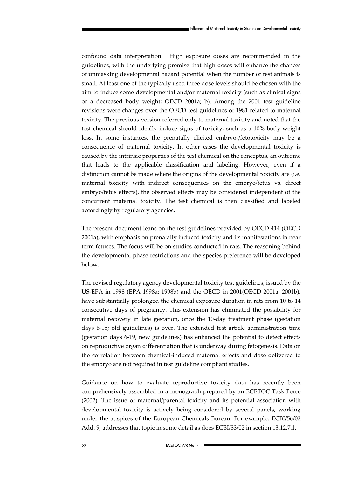confound data interpretation. High exposure doses are recommended in the guidelines, with the underlying premise that high doses will enhance the chances of unmasking developmental hazard potential when the number of test animals is small. At least one of the typically used three dose levels should be chosen with the aim to induce some developmental and/or maternal toxicity (such as clinical signs or a decreased body weight; OECD 2001a; b). Among the 2001 test guideline revisions were changes over the OECD test guidelines of 1981 related to maternal toxicity. The previous version referred only to maternal toxicity and noted that the test chemical should ideally induce signs of toxicity, such as a 10% body weight loss. In some instances, the prenatally elicited embryo-/fetotoxicity may be a consequence of maternal toxicity. In other cases the developmental toxicity is caused by the intrinsic properties of the test chemical on the conceptus, an outcome that leads to the applicable classification and labeling. However, even if a distinction cannot be made where the origins of the developmental toxicity are (i.e. maternal toxicity with indirect consequences on the embryo/fetus vs. direct embryo/fetus effects), the observed effects may be considered independent of the concurrent maternal toxicity. The test chemical is then classified and labeled accordingly by regulatory agencies.

The present document leans on the test guidelines provided by OECD 414 (OECD 2001a), with emphasis on prenatally induced toxicity and its manifestations in near term fetuses. The focus will be on studies conducted in rats. The reasoning behind the developmental phase restrictions and the species preference will be developed below.

The revised regulatory agency developmental toxicity test guidelines, issued by the US-EPA in 1998 (EPA 1998a; 1998b) and the OECD in 2001(OECD 2001a; 2001b), have substantially prolonged the chemical exposure duration in rats from 10 to 14 consecutive days of pregnancy. This extension has eliminated the possibility for maternal recovery in late gestation, once the 10-day treatment phase (gestation days 6-15; old guidelines) is over. The extended test article administration time (gestation days 6-19, new guidelines) has enhanced the potential to detect effects on reproductive organ differentiation that is underway during fetogenesis. Data on the correlation between chemical-induced maternal effects and dose delivered to the embryo are not required in test guideline compliant studies.

Guidance on how to evaluate reproductive toxicity data has recently been comprehensively assembled in a monograph prepared by an ECETOC Task Force (2002). The issue of maternal/parental toxicity and its potential association with developmental toxicity is actively being considered by several panels, working under the auspices of the European Chemicals Bureau. For example, ECBI/56/02 Add. 9, addresses that topic in some detail as does ECBI/33/02 in section 13.12.7.1.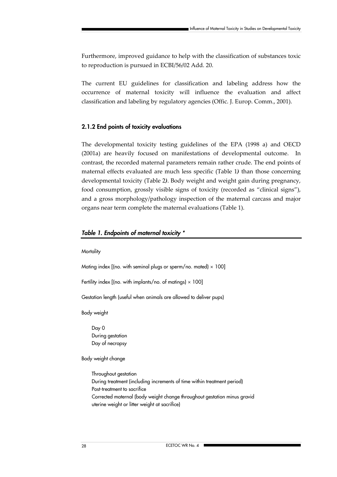Furthermore, improved guidance to help with the classification of substances toxic to reproduction is pursued in ECBI/56/02 Add. 20.

The current EU guidelines for classification and labeling address how the occurrence of maternal toxicity will influence the evaluation and affect classification and labeling by regulatory agencies (Offic. J. Europ. Comm., 2001).

#### **2.1.2 End points of toxicity evaluations**

The developmental toxicity testing guidelines of the EPA (1998 a) and OECD (2001a) are heavily focused on manifestations of developmental outcome. In contrast, the recorded maternal parameters remain rather crude. The end points of maternal effects evaluated are much less specific (Table 1*)* than those concerning developmental toxicity (Table 2*)*. Body weight and weight gain during pregnancy, food consumption, grossly visible signs of toxicity (recorded as "clinical signs"), and a gross morphology/pathology inspection of the maternal carcass and major organs near term complete the maternal evaluations (Table 1).

#### *Table 1. Endpoints of maternal toxicity \**

**Mortality** 

Mating index  $[$ (no. with seminal plugs or sperm/no. mated)  $\times$  100]

Fertility index  $[$ (no. with implants/no. of matings)  $\times$  100]

Gestation length (useful when animals are allowed to deliver pups)

Body weight

Day 0 During gestation Day of necropsy

Body weight change

Throughout gestation During treatment (including increments of time within treatment period) Post-treatment to sacrifice Corrected maternal (body weight change throughout gestation minus gravid uterine weight or litter weight at sacrifice)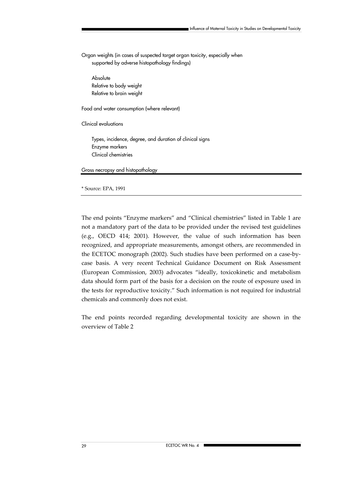Organ weights (in cases of suspected target organ toxicity, especially when supported by adverse histopathology findings)

**Absolute** Relative to body weight Relative to brain weight

Food and water consumption (where relevant)

Clinical evaluations

Types, incidence, degree, and duration of clinical signs Enzyme markers Clinical chemistries

Gross necropsy and histopathology

#### \* Source: EPA, 1991

The end points "Enzyme markers" and "Clinical chemistries" listed in Table 1 are not a mandatory part of the data to be provided under the revised test guidelines (e.g., OECD 414; 2001). However, the value of such information has been recognized, and appropriate measurements, amongst others, are recommended in the ECETOC monograph (2002). Such studies have been performed on a case-bycase basis. A very recent Technical Guidance Document on Risk Assessment (European Commission, 2003) advocates "ideally, toxicokinetic and metabolism data should form part of the basis for a decision on the route of exposure used in the tests for reproductive toxicity." Such information is not required for industrial chemicals and commonly does not exist.

The end points recorded regarding developmental toxicity are shown in the overview of Table 2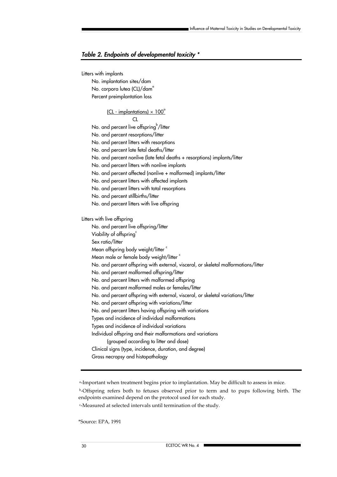#### *Table 2. Endpoints of developmental toxicity \**

Litters with implants

No. implantation sites/dam No. corpora lutea (CL)/dam<sup>e</sup> Percent preimplantation loss

#### $[CL - implantations] \times 100^\circ$

CL

No. and percent live offspring /litter

No. and percent resorptions/litter

No. and percent litters with resorptions

No. and percent late fetal deaths/litter

No. and percent nonlive (late fetal deaths + resorptions) implants/litter

No. and percent litters with nonlive implants

No. and percent affected (nonlive + malformed) implants/litter

No. and percent litters with affected implants

No. and percent litters with total resorptions

- No. and percent stillbirths/litter
- No. and percent litters with live offspring

Litters with live offspring

No. and percent live offspring/litter Viability of offspring<sup>o</sup> Sex ratio/litter Mean offspring body weight/litter c Mean male or female body weight/litter c No. and percent offspring with external, visceral, or skeletal malformations/litter No. and percent malformed offspring/litter No. and percent litters with malformed offspring No. and percent malformed males or females/litter No. and percent offspring with external, visceral, or skeletal variations/litter No. and percent offspring with variations/litter No. and percent litters having offspring with variations Types and incidence of individual malformations Types and incidence of individual variations Individual offspring and their malformations and variations (grouped according to litter and dose) Clinical signs (type, incidence, duration, and degree) Gross necropsy and histopathology

a-Important when treatment begins prior to implantation. May be difficult to assess in mice.

 b-Offspring refers both to fetuses observed prior to term and to pups following birth. The endpoints examined depend on the protocol used for each study.

c-Measured at selected intervals until termination of the study.

\*Source: EPA, 1991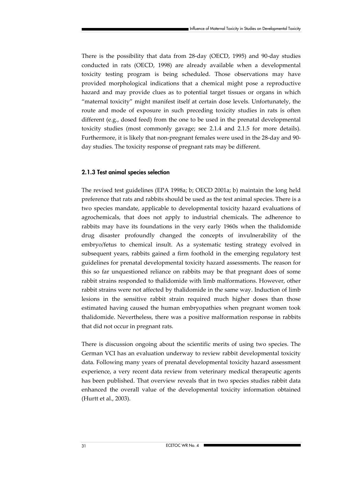There is the possibility that data from 28-day (OECD, 1995) and 90-day studies conducted in rats (OECD, 1998) are already available when a developmental toxicity testing program is being scheduled. Those observations may have provided morphological indications that a chemical might pose a reproductive hazard and may provide clues as to potential target tissues or organs in which "maternal toxicity" might manifest itself at certain dose levels. Unfortunately, the route and mode of exposure in such preceding toxicity studies in rats is often different (e.g., dosed feed) from the one to be used in the prenatal developmental toxicity studies (most commonly gavage; see 2.1.4 and 2.1.5 for more details). Furthermore, it is likely that non-pregnant females were used in the 28-day and 90 day studies. The toxicity response of pregnant rats may be different.

#### **2.1.3 Test animal species selection**

The revised test guidelines (EPA 1998a; b; OECD 2001a; b) maintain the long held preference that rats and rabbits should be used as the test animal species. There is a two species mandate, applicable to developmental toxicity hazard evaluations of agrochemicals, that does not apply to industrial chemicals. The adherence to rabbits may have its foundations in the very early 1960s when the thalidomide drug disaster profoundly changed the concepts of invulnerability of the embryo/fetus to chemical insult. As a systematic testing strategy evolved in subsequent years, rabbits gained a firm foothold in the emerging regulatory test guidelines for prenatal developmental toxicity hazard assessments. The reason for this so far unquestioned reliance on rabbits may be that pregnant does of some rabbit strains responded to thalidomide with limb malformations. However, other rabbit strains were not affected by thalidomide in the same way. Induction of limb lesions in the sensitive rabbit strain required much higher doses than those estimated having caused the human embryopathies when pregnant women took thalidomide. Nevertheless, there was a positive malformation response in rabbits that did not occur in pregnant rats.

There is discussion ongoing about the scientific merits of using two species. The German VCI has an evaluation underway to review rabbit developmental toxicity data. Following many years of prenatal developmental toxicity hazard assessment experience, a very recent data review from veterinary medical therapeutic agents has been published. That overview reveals that in two species studies rabbit data enhanced the overall value of the developmental toxicity information obtained (Hurtt et al., 2003).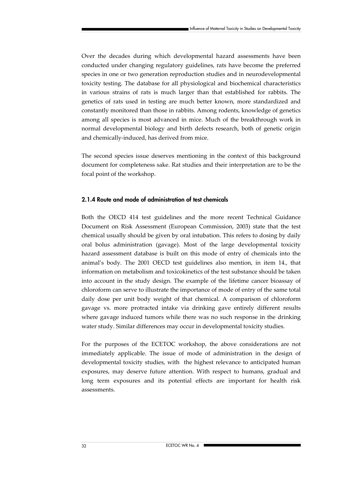Over the decades during which developmental hazard assessments have been conducted under changing regulatory guidelines, rats have become the preferred species in one or two generation reproduction studies and in neurodevelopmental toxicity testing. The database for all physiological and biochemical characteristics in various strains of rats is much larger than that established for rabbits. The genetics of rats used in testing are much better known, more standardized and constantly monitored than those in rabbits. Among rodents, knowledge of genetics among all species is most advanced in mice. Much of the breakthrough work in normal developmental biology and birth defects research, both of genetic origin and chemically-induced, has derived from mice.

The second species issue deserves mentioning in the context of this background document for completeness sake. Rat studies and their interpretation are to be the focal point of the workshop.

#### **2.1.4 Route and mode of administration of test chemicals**

Both the OECD 414 test guidelines and the more recent Technical Guidance Document on Risk Assessment (European Commission, 2003) state that the test chemical usually should be given by oral intubation. This refers to dosing by daily oral bolus administration (gavage). Most of the large developmental toxicity hazard assessment database is built on this mode of entry of chemicals into the animal's body. The 2001 OECD test guidelines also mention, in item 14., that information on metabolism and toxicokinetics of the test substance should be taken into account in the study design. The example of the lifetime cancer bioassay of chloroform can serve to illustrate the importance of mode of entry of the same total daily dose per unit body weight of that chemical. A comparison of chloroform gavage vs. more protracted intake via drinking gave entirely different results where gavage induced tumors while there was no such response in the drinking water study. Similar differences may occur in developmental toxicity studies.

For the purposes of the ECETOC workshop, the above considerations are not immediately applicable. The issue of mode of administration in the design of developmental toxicity studies, with the highest relevance to anticipated human exposures, may deserve future attention. With respect to humans, gradual and long term exposures and its potential effects are important for health risk assessments.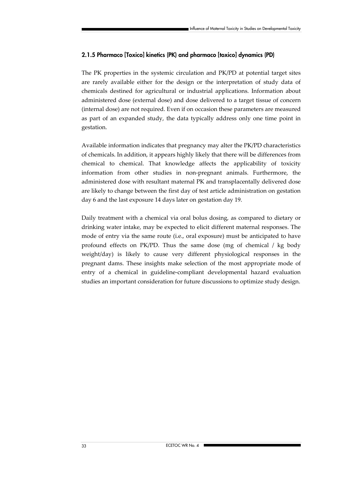### **2.1.5 Pharmaco [Toxico] kinetics (PK) and pharmaco [toxico] dynamics (PD)**

The PK properties in the systemic circulation and PK/PD at potential target sites are rarely available either for the design or the interpretation of study data of chemicals destined for agricultural or industrial applications. Information about administered dose (external dose) and dose delivered to a target tissue of concern (internal dose) are not required. Even if on occasion these parameters are measured as part of an expanded study, the data typically address only one time point in gestation.

Available information indicates that pregnancy may alter the PK/PD characteristics of chemicals. In addition, it appears highly likely that there will be differences from chemical to chemical. That knowledge affects the applicability of toxicity information from other studies in non-pregnant animals. Furthermore, the administered dose with resultant maternal PK and transplacentally delivered dose are likely to change between the first day of test article administration on gestation day 6 and the last exposure 14 days later on gestation day 19.

Daily treatment with a chemical via oral bolus dosing, as compared to dietary or drinking water intake, may be expected to elicit different maternal responses. The mode of entry via the same route (i.e., oral exposure) must be anticipated to have profound effects on PK/PD. Thus the same dose (mg of chemical / kg body weight/day) is likely to cause very different physiological responses in the pregnant dams. These insights make selection of the most appropriate mode of entry of a chemical in guideline-compliant developmental hazard evaluation studies an important consideration for future discussions to optimize study design.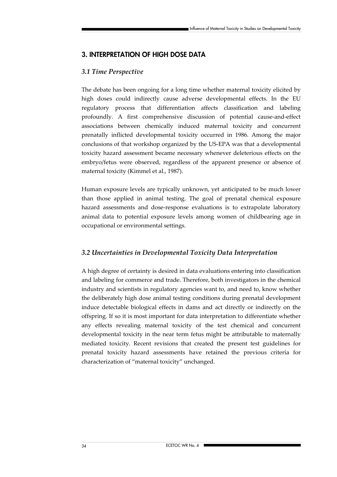# **3. INTERPRETATION OF HIGH DOSE DATA**

### *3.1 Time Perspective*

The debate has been ongoing for a long time whether maternal toxicity elicited by high doses could indirectly cause adverse developmental effects. In the EU regulatory process that differentiation affects classification and labeling profoundly. A first comprehensive discussion of potential cause-and-effect associations between chemically induced maternal toxicity and concurrent prenatally inflicted developmental toxicity occurred in 1986. Among the major conclusions of that workshop organized by the US-EPA was that a developmental toxicity hazard assessment became necessary whenever deleterious effects on the embryo/fetus were observed, regardless of the apparent presence or absence of maternal toxicity (Kimmel et al., 1987).

Human exposure levels are typically unknown, yet anticipated to be much lower than those applied in animal testing. The goal of prenatal chemical exposure hazard assessments and dose-response evaluations is to extrapolate laboratory animal data to potential exposure levels among women of childbearing age in occupational or environmental settings.

### *3.2 Uncertainties in Developmental Toxicity Data Interpretation*

A high degree of certainty is desired in data evaluations entering into classification and labeling for commerce and trade. Therefore, both investigators in the chemical industry and scientists in regulatory agencies want to, and need to, know whether the deliberately high dose animal testing conditions during prenatal development induce detectable biological effects in dams and act directly or indirectly on the offspring. If so it is most important for data interpretation to differentiate whether any effects revealing maternal toxicity of the test chemical and concurrent developmental toxicity in the near term fetus might be attributable to maternally mediated toxicity. Recent revisions that created the present test guidelines for prenatal toxicity hazard assessments have retained the previous criteria for characterization of "maternal toxicity" unchanged.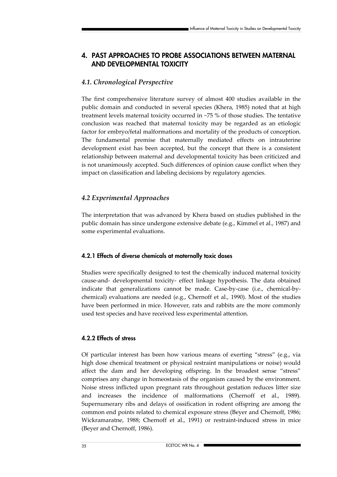# **4. PAST APPROACHES TO PROBE ASSOCIATIONS BETWEEN MATERNAL AND DEVELOPMENTAL TOXICITY**

### *4.1. Chronological Perspective*

The first comprehensive literature survey of almost 400 studies available in the public domain and conducted in several species (Khera, 1985) noted that at high treatment levels maternal toxicity occurred in ~75 % of those studies. The tentative conclusion was reached that maternal toxicity may be regarded as an etiologic factor for embryo/fetal malformations and mortality of the products of conception. The fundamental premise that maternally mediated effects on intrauterine development exist has been accepted, but the concept that there is a consistent relationship between maternal and developmental toxicity has been criticized and is not unanimously accepted. Such differences of opinion cause conflict when they impact on classification and labeling decisions by regulatory agencies.

### *4.2 Experimental Approaches*

The interpretation that was advanced by Khera based on studies published in the public domain has since undergone extensive debate (e.g., Kimmel et al., 1987) and some experimental evaluations.

### **4.2.1 Effects of diverse chemicals at maternally toxic doses**

Studies were specifically designed to test the chemically induced maternal toxicity cause-and- developmental toxicity- effect linkage hypothesis. The data obtained indicate that generalizations cannot be made. Case-by-case (i.e., chemical-bychemical) evaluations are needed (e.g., Chernoff et al., 1990). Most of the studies have been performed in mice. However, rats and rabbits are the more commonly used test species and have received less experimental attention.

### **4.2.2 Effects of stress**

Of particular interest has been how various means of exerting "stress" (e.g., via high dose chemical treatment or physical restraint manipulations or noise) would affect the dam and her developing offspring. In the broadest sense "stress" comprises any change in homeostasis of the organism caused by the environment. Noise stress inflicted upon pregnant rats throughout gestation reduces litter size and increases the incidence of malformations (Chernoff et al., 1989). Supernumerary ribs and delays of ossification in rodent offspring are among the common end points related to chemical exposure stress (Beyer and Chernoff, 1986; Wickramaratne, 1988; Chernoff et al., 1991) or restraint-induced stress in mice (Beyer and Chernoff, 1986).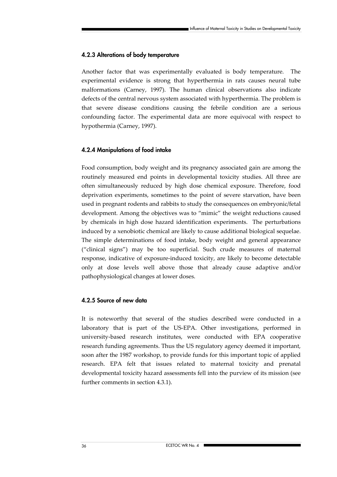### **4.2.3 Alterations of body temperature**

Another factor that was experimentally evaluated is body temperature. The experimental evidence is strong that hyperthermia in rats causes neural tube malformations (Carney, 1997). The human clinical observations also indicate defects of the central nervous system associated with hyperthermia. The problem is that severe disease conditions causing the febrile condition are a serious confounding factor. The experimental data are more equivocal with respect to hypothermia (Carney, 1997).

### **4.2.4 Manipulations of food intake**

Food consumption, body weight and its pregnancy associated gain are among the routinely measured end points in developmental toxicity studies. All three are often simultaneously reduced by high dose chemical exposure. Therefore, food deprivation experiments, sometimes to the point of severe starvation, have been used in pregnant rodents and rabbits to study the consequences on embryonic/fetal development. Among the objectives was to "mimic" the weight reductions caused by chemicals in high dose hazard identification experiments. The perturbations induced by a xenobiotic chemical are likely to cause additional biological sequelae. The simple determinations of food intake, body weight and general appearance ("clinical signs") may be too superficial. Such crude measures of maternal response, indicative of exposure-induced toxicity, are likely to become detectable only at dose levels well above those that already cause adaptive and/or pathophysiological changes at lower doses.

### **4.2.5 Source of new data**

It is noteworthy that several of the studies described were conducted in a laboratory that is part of the US-EPA. Other investigations, performed in university-based research institutes, were conducted with EPA cooperative research funding agreements. Thus the US regulatory agency deemed it important, soon after the 1987 workshop, to provide funds for this important topic of applied research. EPA felt that issues related to maternal toxicity and prenatal developmental toxicity hazard assessments fell into the purview of its mission (see further comments in section 4.3.1).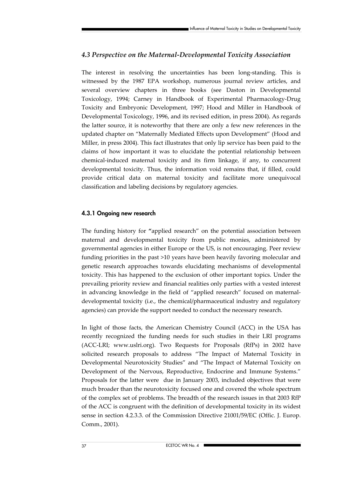### *4.3 Perspective on the Maternal-Developmental Toxicity Association*

The interest in resolving the uncertainties has been long-standing. This is witnessed by the 1987 EPA workshop, numerous journal review articles, and several overview chapters in three books (see Daston in Developmental Toxicology, 1994; Carney in Handbook of Experimental Pharmacology-Drug Toxicity and Embryonic Development, 1997; Hood and Miller in Handbook of Developmental Toxicology, 1996, and its revised edition, in press 2004). As regards the latter source, it is noteworthy that there are only a few new references in the updated chapter on "Maternally Mediated Effects upon Development" (Hood and Miller, in press 2004). This fact illustrates that only lip service has been paid to the claims of how important it was to elucidate the potential relationship between chemical-induced maternal toxicity and its firm linkage, if any, to concurrent developmental toxicity. Thus, the information void remains that, if filled, could provide critical data on maternal toxicity and facilitate more unequivocal classification and labeling decisions by regulatory agencies.

### **4.3.1 Ongoing new research**

The funding history for **"**applied research" on the potential association between maternal and developmental toxicity from public monies, administered by governmental agencies in either Europe or the US, is not encouraging. Peer review funding priorities in the past >10 years have been heavily favoring molecular and genetic research approaches towards elucidating mechanisms of developmental toxicity. This has happened to the exclusion of other important topics. Under the prevailing priority review and financial realities only parties with a vested interest in advancing knowledge in the field of "applied research" focused on maternaldevelopmental toxicity (i.e., the chemical/pharmaceutical industry and regulatory agencies) can provide the support needed to conduct the necessary research.

In light of those facts, the American Chemistry Council (ACC) in the USA has recently recognized the funding needs for such studies in their LRI programs (ACC-LRI; www.uslri.org). Two Requests for Proposals (RfPs) in 2002 have solicited research proposals to address "The Impact of Maternal Toxicity in Developmental Neurotoxicity Studies" and "The Impact of Maternal Toxicity on Development of the Nervous, Reproductive, Endocrine and Immune Systems." Proposals for the latter were due in January 2003, included objectives that were much broader than the neurotoxicity focused one and covered the whole spectrum of the complex set of problems. The breadth of the research issues in that 2003 RfP of the ACC is congruent with the definition of developmental toxicity in its widest sense in section 4.2.3.3. of the Commission Directive 21001/59/EC (Offic. J. Europ. Comm., 2001).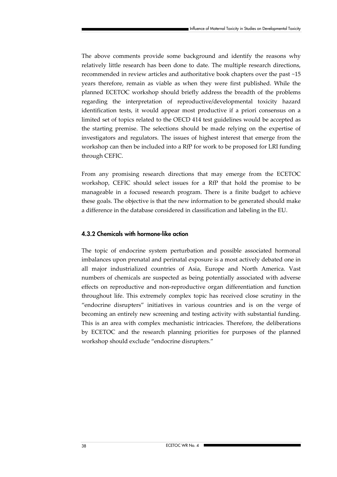The above comments provide some background and identify the reasons why relatively little research has been done to date. The multiple research directions, recommended in review articles and authoritative book chapters over the past ~15 years therefore, remain as viable as when they were first published. While the planned ECETOC workshop should briefly address the breadth of the problems regarding the interpretation of reproductive/developmental toxicity hazard identification tests, it would appear most productive if a priori consensus on a limited set of topics related to the OECD 414 test guidelines would be accepted as the starting premise. The selections should be made relying on the expertise of investigators and regulators. The issues of highest interest that emerge from the workshop can then be included into a RfP for work to be proposed for LRI funding through CEFIC.

From any promising research directions that may emerge from the ECETOC workshop, CEFIC should select issues for a RfP that hold the promise to be manageable in a focused research program. There is a finite budget to achieve these goals. The objective is that the new information to be generated should make a difference in the database considered in classification and labeling in the EU.

#### **4.3.2 Chemicals with hormone-like action**

The topic of endocrine system perturbation and possible associated hormonal imbalances upon prenatal and perinatal exposure is a most actively debated one in all major industrialized countries of Asia, Europe and North America. Vast numbers of chemicals are suspected as being potentially associated with adverse effects on reproductive and non-reproductive organ differentiation and function throughout life. This extremely complex topic has received close scrutiny in the "endocrine disrupters" initiatives in various countries and is on the verge of becoming an entirely new screening and testing activity with substantial funding. This is an area with complex mechanistic intricacies. Therefore, the deliberations by ECETOC and the research planning priorities for purposes of the planned workshop should exclude "endocrine disrupters."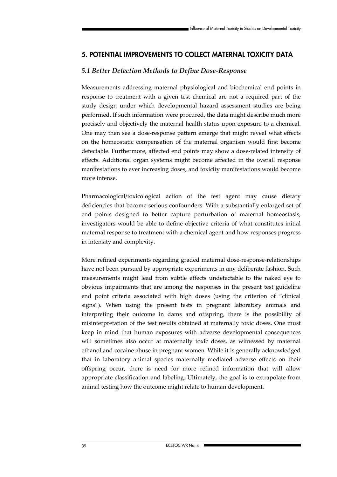# **5. POTENTIAL IMPROVEMENTS TO COLLECT MATERNAL TOXICITY DATA**

### *5.1 Better Detection Methods to Define Dose-Response*

Measurements addressing maternal physiological and biochemical end points in response to treatment with a given test chemical are not a required part of the study design under which developmental hazard assessment studies are being performed. If such information were procured, the data might describe much more precisely and objectively the maternal health status upon exposure to a chemical. One may then see a dose-response pattern emerge that might reveal what effects on the homeostatic compensation of the maternal organism would first become detectable. Furthermore, affected end points may show a dose-related intensity of effects. Additional organ systems might become affected in the overall response manifestations to ever increasing doses, and toxicity manifestations would become more intense.

Pharmacological/toxicological action of the test agent may cause dietary deficiencies that become serious confounders. With a substantially enlarged set of end points designed to better capture perturbation of maternal homeostasis, investigators would be able to define objective criteria of what constitutes initial maternal response to treatment with a chemical agent and how responses progress in intensity and complexity.

More refined experiments regarding graded maternal dose-response-relationships have not been pursued by appropriate experiments in any deliberate fashion. Such measurements might lead from subtle effects undetectable to the naked eye to obvious impairments that are among the responses in the present test guideline end point criteria associated with high doses (using the criterion of "clinical signs"). When using the present tests in pregnant laboratory animals and interpreting their outcome in dams and offspring, there is the possibility of misinterpretation of the test results obtained at maternally toxic doses. One must keep in mind that human exposures with adverse developmental consequences will sometimes also occur at maternally toxic doses, as witnessed by maternal ethanol and cocaine abuse in pregnant women. While it is generally acknowledged that in laboratory animal species maternally mediated adverse effects on their offspring occur, there is need for more refined information that will allow appropriate classification and labeling. Ultimately, the goal is to extrapolate from animal testing how the outcome might relate to human development.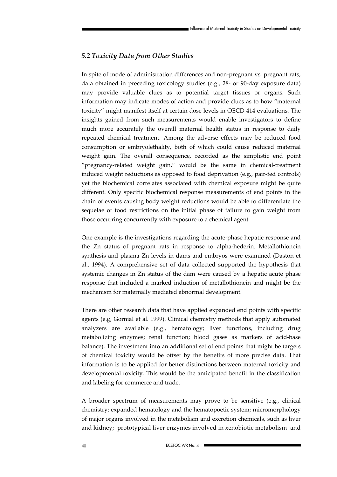# *5.2 Toxicity Data from Other Studies*

In spite of mode of administration differences and non-pregnant vs. pregnant rats, data obtained in preceding toxicology studies (e.g., 28- or 90-day exposure data) may provide valuable clues as to potential target tissues or organs. Such information may indicate modes of action and provide clues as to how "maternal toxicity" might manifest itself at certain dose levels in OECD 414 evaluations. The insights gained from such measurements would enable investigators to define much more accurately the overall maternal health status in response to daily repeated chemical treatment. Among the adverse effects may be reduced food consumption or embryolethality, both of which could cause reduced maternal weight gain. The overall consequence, recorded as the simplistic end point "pregnancy-related weight gain," would be the same in chemical-treatment induced weight reductions as opposed to food deprivation (e.g., pair-fed controls) yet the biochemical correlates associated with chemical exposure might be quite different. Only specific biochemical response measurements of end points in the chain of events causing body weight reductions would be able to differentiate the sequelae of food restrictions on the initial phase of failure to gain weight from those occurring concurrently with exposure to a chemical agent.

One example is the investigations regarding the acute-phase hepatic response and the Zn status of pregnant rats in response to alpha-hederin. Metallothionein synthesis and plasma Zn levels in dams and embryos were examined (Daston et al., 1994). A comprehensive set of data collected supported the hypothesis that systemic changes in Zn status of the dam were caused by a hepatic acute phase response that included a marked induction of metallothionein and might be the mechanism for maternally mediated abnormal development.

There are other research data that have applied expanded end points with specific agents (e.g, Gornial et al. 1999). Clinical chemistry methods that apply automated analyzers are available (e.g., hematology; liver functions, including drug metabolizing enzymes; renal function; blood gases as markers of acid-base balance). The investment into an additional set of end points that might be targets of chemical toxicity would be offset by the benefits of more precise data. That information is to be applied for better distinctions between maternal toxicity and developmental toxicity. This would be the anticipated benefit in the classification and labeling for commerce and trade.

A broader spectrum of measurements may prove to be sensitive (e.g., clinical chemistry; expanded hematology and the hematopoetic system; micromorphology of major organs involved in the metabolism and excretion chemicals, such as liver and kidney; prototypical liver enzymes involved in xenobiotic metabolism and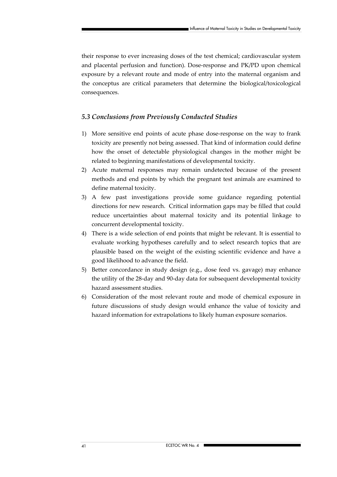their response to ever increasing doses of the test chemical; cardiovascular system and placental perfusion and function). Dose-response and PK/PD upon chemical exposure by a relevant route and mode of entry into the maternal organism and the conceptus are critical parameters that determine the biological/toxicological consequences.

### *5.3 Conclusions from Previously Conducted Studies*

- 1) More sensitive end points of acute phase dose-response on the way to frank toxicity are presently not being assessed. That kind of information could define how the onset of detectable physiological changes in the mother might be related to beginning manifestations of developmental toxicity.
- 2) Acute maternal responses may remain undetected because of the present methods and end points by which the pregnant test animals are examined to define maternal toxicity.
- 3) A few past investigations provide some guidance regarding potential directions for new research. Critical information gaps may be filled that could reduce uncertainties about maternal toxicity and its potential linkage to concurrent developmental toxicity.
- 4) There is a wide selection of end points that might be relevant. It is essential to evaluate working hypotheses carefully and to select research topics that are plausible based on the weight of the existing scientific evidence and have a good likelihood to advance the field.
- 5) Better concordance in study design (e.g., dose feed vs. gavage) may enhance the utility of the 28-day and 90-day data for subsequent developmental toxicity hazard assessment studies.
- 6) Consideration of the most relevant route and mode of chemical exposure in future discussions of study design would enhance the value of toxicity and hazard information for extrapolations to likely human exposure scenarios.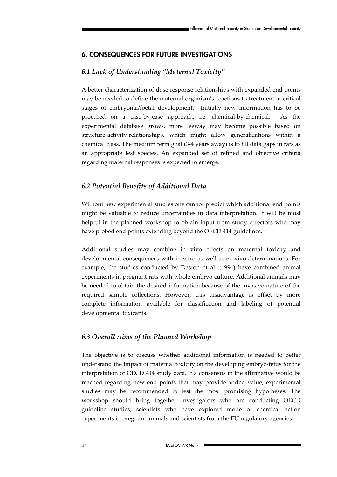# **6. CONSEQUENCES FOR FUTURE INVESTIGATIONS**

# *6.1 Lack of Understanding "Maternal Toxicity"*

A better characterization of dose response relationships with expanded end points may be needed to define the maternal organism's reactions to treatment at critical stages of embryonal/foetal development. Initially new information has to be procured on a case-by-case approach, i.e. chemical-by-chemical. As the experimental database grows, more leeway may become possible based on structure-activity-relationships, which might allow generalizations within a chemical class. The medium term goal (3-4 years away) is to fill data gaps in rats as an appropriate test species. An expanded set of refined and objective criteria regarding maternal responses is expected to emerge.

### *6.2 Potential Benefits of Additional Data*

Without new experimental studies one cannot predict which additional end points might be valuable to reduce uncertainties in data interpretation. It will be most helpful in the planned workshop to obtain input from study directors who may have probed end points extending beyond the OECD 414 guidelines.

Additional studies may combine in vivo effects on maternal toxicity and developmental consequences with in vitro as well as ex vivo determinations. For example, the studies conducted by Daston et al. (1994) have combined animal experiments in pregnant rats with whole embryo culture. Additional animals may be needed to obtain the desired information because of the invasive nature of the required sample collections. However, this disadvantage is offset by more complete information available for classification and labeling of potential developmental toxicants.

### *6.3 Overall Aims of the Planned Workshop*

The objective is to discuss whether additional information is needed to better understand the impact of maternal toxicity on the developing embryo/fetus for the interpretation of OECD 414 study data. If a consensus in the affirmative would be reached regarding new end points that may provide added value, experimental studies may be recommended to test the most promising hypotheses. The workshop should bring together investigators who are conducting OECD guideline studies, scientists who have explored mode of chemical action experiments in pregnant animals and scientists from the EU regulatory agencies.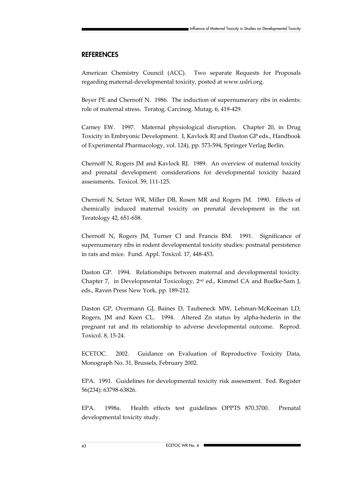### **REFERENCES**

American Chemistry Council (ACC). Two separate Requests for Proposals regarding maternal-developmental toxicity, posted at www.uslri.org.

Beyer PE and Chernoff N. 1986. The induction of supernumerary ribs in rodents: role of maternal stress. Teratog. Carcinog. Mutag. 6, 419-429.

Carney EW. 1997. Maternal physiological disruption. Chapter 20, in Drug Toxicity in Embryonic Development. I, Kavlock RJ and Daston GP eds., Handbook of Experimental Pharmacology, vol. 124), pp. 573-594, Springer Verlag Berlin.

Chernoff N, Rogers JM and Kavlock RJ. 1989. An overview of maternal toxicity and prenatal development: considerations for developmental toxicity hazard assessments. Toxicol. 59, 111-125.

Chernoff N, Setzer WR, Miller DB, Rosen MR and Rogers JM. 1990. Effects of chemically induced maternal toxicity on prenatal development in the rat. Teratology 42, 651-658.

Chernoff N, Rogers JM, Turner CI and Francis BM. 1991. Significance of supernumerary ribs in rodent developmental toxicity studies: postnatal persistence in rats and mice. Fund. Appl. Toxicol. 17, 448-453.

Daston GP. 1994. Relationships between maternal and developmental toxicity. Chapter 7, in Developmental Toxicology, 2nd ed., Kimmel CA and Buelke-Sam J, eds., Raven Press New York, pp. 189-212.

Daston GP, Overmann GJ, Baines D, Taubeneck MW, Lehman-McKeeman LD, Rogers, JM and Keen CL. 1994. Altered Zn status by alpha-hederin in the pregnant rat and its relationship to adverse developmental outcome. Reprod. Toxicol. 8, 15-24.

ECETOC. 2002. Guidance on Evaluation of Reproductive Toxicity Data, Monograph No. 31, Brussels, February 2002.

EPA. 1991. Guidelines for developmental toxicity risk assessment. Fed. Register 56(234): 63798-63826.

EPA. 1998a. Health effects test guidelines OPPTS 870.3700. Prenatal developmental toxicity study.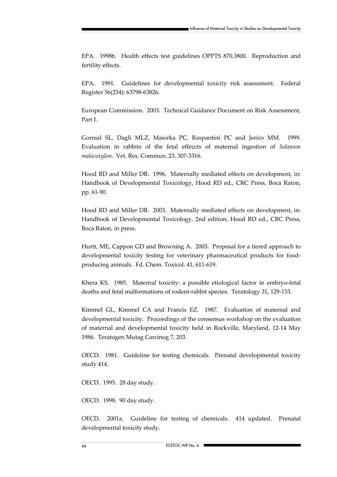EPA. 1998b. Health effects test guidelines OPPTS 870.3800. Reproduction and fertility effects.

EPA. 1991. Guidelines for developmental toxicity risk assessment. Federal Register 56(234): 63798-63826.

European Commission. 2003. Technical Guidance Document on Risk Assessment, Part I.

Gornial SL, Dagli MLZ, Maiorka PC, Raspantini PC and Jerico MM. 1999. Evaluation in rabbits of the fetal effeccts of maternal ingestion of *Solanum malacoxylon*. Vet. Res. Commun. 23. 307-3316.

Hood RD and Miller DB. 1996. Maternally mediated effects on development, in: Handbook of Developmental Toxicology, Hood RD ed., CRC Press, Boca Raton, pp. 61-90.

Hood RD and Miller DB. 2003. Maternally mediated effects on development, in: Handbook of Developmental Toxicology, 2nd edition, Hood RD ed., CRC Press, Boca Raton, in press.

Hurtt, ME, Cappon GD and Browning A. 2003. Proposal for a tiered approach to developmental toxicity testing for veterinary pharmaceutical products for foodproducing animals. Fd. Chem. Toxicol. 41, 611-619.

Khera KS. 1985. Maternal toxicity: a possible etiological factor in embryo-fetal deaths and fetal malformations of rodent-rabbit species. Teratology 31, 129-153.

Kimmel GL, Kimmel CA and Francis EZ. 1987. Evaluation of maternal and developmental toxicity. Proceedings of the consensus workshop on the evaluation of maternal and developmental toxicity held in Rockville, Maryland, 12-14 May 1986. Teratogen Mutag Carcinog 7, 203.

OECD. 1981. Guideline for testing chemicals. Prenatal developmental toxicity study 414.

OECD. 1995. 28 day study.

OECD. 1998. 90 day study.

OECD. 2001a. Guideline for testing of chemicals. 414 updated. Prenatal developmental toxicity study.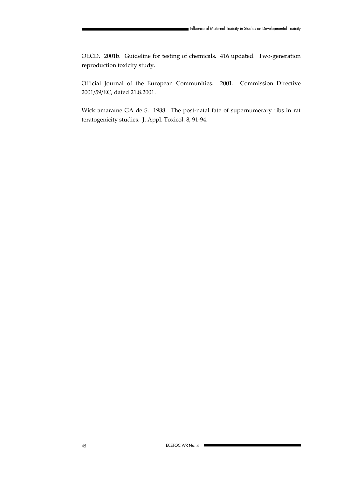OECD. 2001b. Guideline for testing of chemicals. 416 updated. Two-generation reproduction toxicity study.

Official Journal of the European Communities. 2001. Commission Directive 2001/59/EC, dated 21.8.2001.

Wickramaratne GA de S. 1988. The post-natal fate of supernumerary ribs in rat teratogenicity studies. J. Appl. Toxicol. 8, 91-94.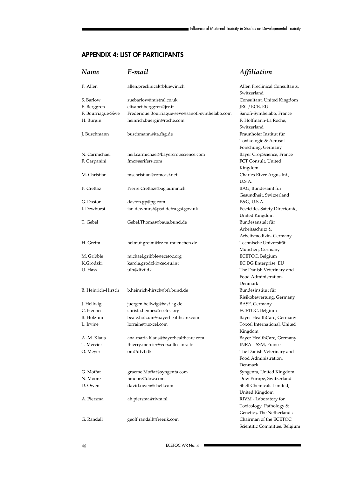# **APPENDIX 4: LIST OF PARTICIPANTS**

| Name               | E-mail                                           | Affiliation                                   |
|--------------------|--------------------------------------------------|-----------------------------------------------|
| P. Allen           | allen.preclinical@bluewin.ch                     | Allen Preclinical Consultants,<br>Switzerland |
| S. Barlow          | suebarlow@mistral.co.uk                          | Consultant, United Kingdom                    |
| E. Berggren        | elisabet.berggren@jrc.it                         | JRC / ECB, EU                                 |
| F. Bourriague-Sève | Frederique.Bourriague-seve@sanofi-synthelabo.com | Sanofi-Synthelabo, France                     |
| H. Bürgin          | heinrich.buergin@roche.com                       | F. Hoffmann-La Roche,                         |
|                    |                                                  | Switzerland                                   |
| J. Buschmann       | buschmann@ita.fhg.de                             | Fraunhofer Institut für                       |
|                    |                                                  | Toxikologie & Aerosol-                        |
|                    |                                                  | Forschung, Germany                            |
| N. Carmichael      | neil.carmichael@bayercropscience.com             | Bayer CropScience, France                     |
| F. Carpanini       | fmc@serifers.com                                 | FCT Consult, United                           |
|                    |                                                  | Kingdom                                       |
| M. Christian       | mschristian@comcast.net                          | Charles River Argus Int.,                     |
|                    |                                                  | U.S.A.                                        |
| P. Crettaz         | Pierre.Crettaz@bag.admin.ch                      | BAG, Bundesamt für                            |
|                    |                                                  | Gesundheit, Switzerland                       |
| G. Daston          | daston.gp@pg.com                                 | P&G, U.S.A.                                   |
| I. Dewhurst        | ian.dewhurst@psd.defra.gsi.gov.uk                | Pesticides Safety Directorate,                |
|                    |                                                  | United Kingdom                                |
| T. Gebel           | Gebel.Thomas@baua.bund.de                        | Bundesanstalt für                             |
|                    |                                                  | Arbeitsschutz &                               |
|                    |                                                  | Arbeitsmedizin, Germany                       |
| H. Greim           | helmut.greim@lrz.tu-muenchen.de                  | Technische Universität                        |
|                    |                                                  | München, Germany                              |
| M. Gribble         | michael.gribble@ecetoc.org                       | ECETOC, Belgium                               |
| K.Grodzki          | karola.grodzki@cec.eu.int                        | EC DG Enterprise, EU                          |
| U. Hass            | ulh@dfvf.dk                                      | The Danish Veterinary and                     |
|                    |                                                  | Food Administration,                          |
|                    |                                                  | Denmark                                       |
| B. Heinrich-Hirsch | b.heinrich-hirsch@bfr.bund.de                    | Bundesinstitut für                            |
|                    |                                                  | Risikobewertung, Germany                      |
| J. Hellwig         | juergen.hellwig@basf-ag.de                       | BASF, Germany                                 |
| C. Hennes          | christa.hennes@ecetoc.org                        | ECETOC, Belgium                               |
| B. Holzum          | beate.holzum@bayerhealthcare.com                 | Bayer HealthCare, Germany                     |
| L. Irvine          | lorraine@toxcel.com                              | Toxcel International, United                  |
|                    |                                                  | Kingdom                                       |
| A.-M. Klaus        | ana-maria.klaus@bayerhealthcare.com              | Bayer HealthCare, Germany                     |
| T. Mercier         | thierry.mercier@versailles.inra.fr               | INRA - SSM, France                            |
| O. Meyer           | om@dfvf.dk                                       | The Danish Veterinary and                     |
|                    |                                                  | Food Administration,                          |
|                    |                                                  | Denmark                                       |
| G. Moffat          | graeme.Moffat@syngenta.com                       | Syngenta, United Kingdom                      |
| N. Moore           | nmoore@dow.com                                   | Dow Europe, Switzerland                       |
| D. Owen            | david.owen@shell.com                             | Shell Chemicals Limited,                      |
|                    |                                                  | United Kingdom                                |
| A. Piersma         | ah.piersma@rivm.nl                               | RIVM - Laboratory for                         |
|                    |                                                  | Toxicology, Pathology &                       |
|                    |                                                  | Genetics, The Netherlands                     |
| G. Randall         | geoff.randall@freeuk.com                         | Chairman of the ECETOC                        |
|                    |                                                  | Scientific Committee, Belgium                 |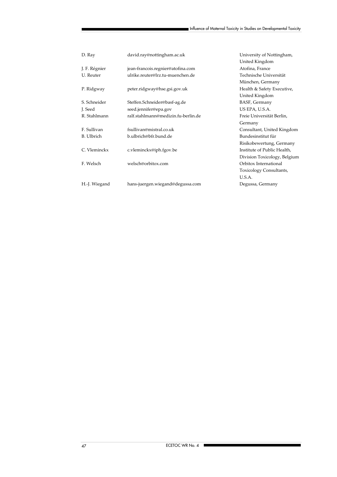| D. Ray            | david.ray@nottingham.ac.uk          | University of Nottingham,    |
|-------------------|-------------------------------------|------------------------------|
|                   |                                     | United Kingdom               |
| J. F. Régnier     | jean-francois.regnier@atofina.com   | Atofina, France              |
| U. Reuter         | ulrike.reuter@lrz.tu-muenchen.de    | Technische Universität       |
|                   |                                     | München, Germany             |
| P. Ridgway        | peter.ridgway@hse.gsi.gov.uk        | Health & Safety Executive,   |
|                   |                                     | United Kingdom               |
| S. Schneider      | Steffen.Schneider@basf-ag.de        | BASF, Germany                |
| J. Seed           | seed.jennifer@epa.gov               | US EPA, U.S.A.               |
| R. Stahlmann      | ralf.stahlmann@medizin.fu-berlin.de | Freie Universität Berlin,    |
|                   |                                     | Germany                      |
| F. Sullivan       | fsullivan@mistral.co.uk             | Consultant, United Kingdom   |
| <b>B.</b> Ulbrich | b.ulbrich@bfr.bund.de               | Bundesinstitut für           |
|                   |                                     | Risikobewertung, Germany     |
| C. Vleminckx      | c.vleminckx@iph.fgov.be             | Institute of Public Health,  |
|                   |                                     | Division Toxicology, Belgium |
| F. Welsch         | welsch@orbitox.com                  | Orbitox International        |
|                   |                                     | Toxicology Consultants,      |
|                   |                                     | U.S.A.                       |
| H.-J. Wiegand     | hans-juergen.wiegand@degussa.com    | Degussa, Germany             |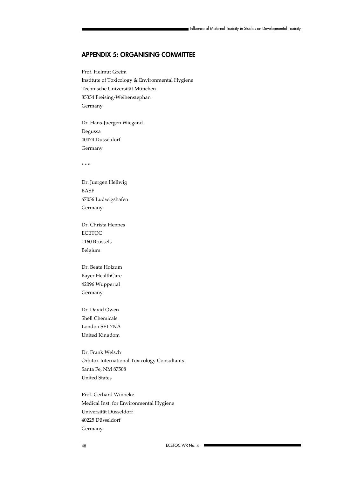### **APPENDIX 5: ORGANISING COMMITTEE**

Prof. Helmut Greim Institute of Toxicology & Environmental Hygiene Technische Universität München 85354 Freising-Weihenstephan Germany

Dr. Hans-Juergen Wiegand Degussa 40474 Düsseldorf Germany

\* \* \*

Dr. Juergen Hellwig BASF 67056 Ludwigshafen Germany

Dr. Christa Hennes ECETOC 1160 Brussels Belgium

Dr. Beate Holzum Bayer HealthCare 42096 Wuppertal Germany

Dr. David Owen Shell Chemicals London SE1 7NA United Kingdom

Dr. Frank Welsch Orbitox International Toxicology Consultants Santa Fe, NM 87508 United States

Prof. Gerhard Winneke Medical Inst. for Environmental Hygiene Universität Düsseldorf 40225 Düsseldorf Germany